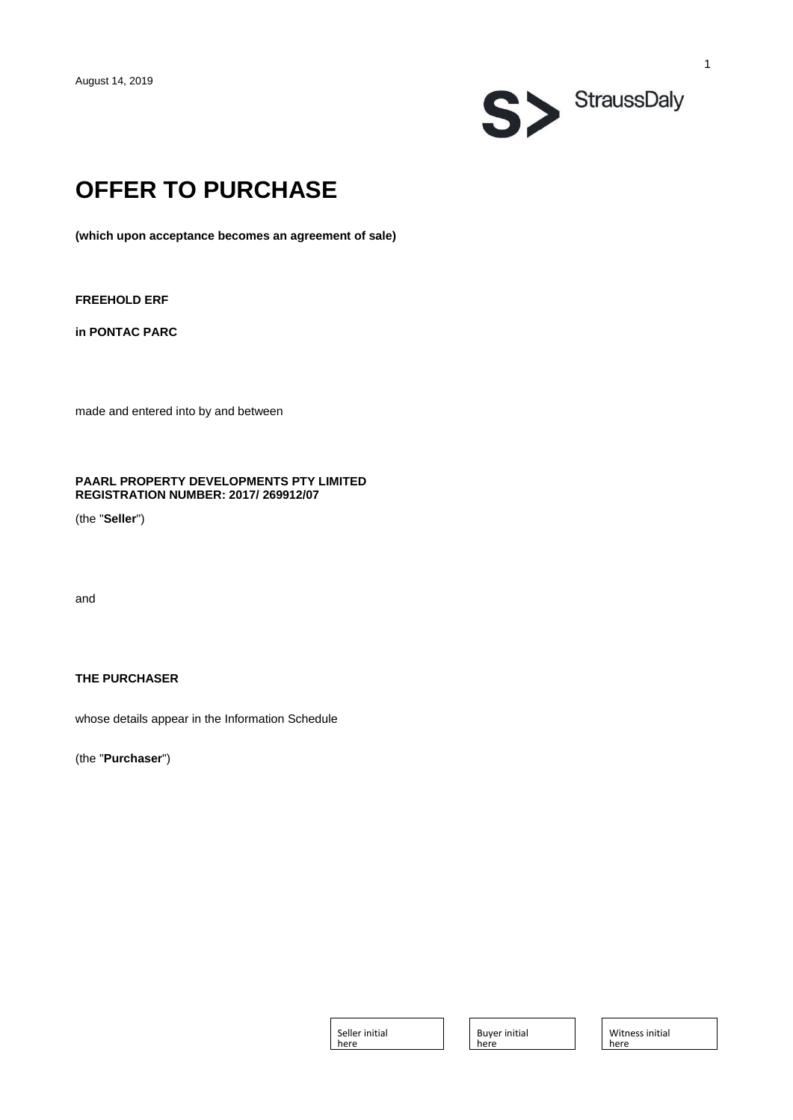

# **OFFER TO PURCHASE**

**(which upon acceptance becomes an agreement of sale)**

**FREEHOLD ERF** 

**in PONTAC PARC**

made and entered into by and between

# **PAARL PROPERTY DEVELOPMENTS PTY LIMITED REGISTRATION NUMBER: 2017/ 269912/07**

(the "**Seller**")

and

# **THE PURCHASER**

whose details appear in the Information Schedule

(the "**Purchaser**")

Seller initial here

Buyer initial here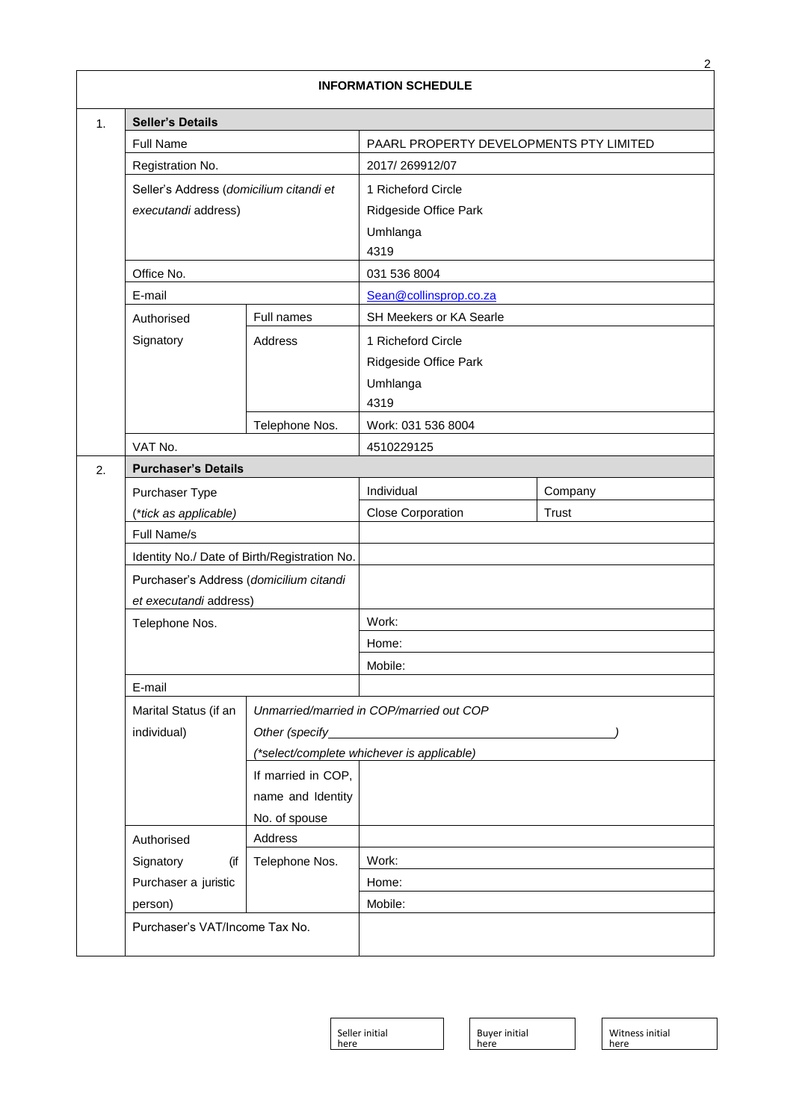|                |                                                             |                    | <b>INFORMATION SCHEDULE</b>               |         |  |
|----------------|-------------------------------------------------------------|--------------------|-------------------------------------------|---------|--|
| $\mathbf{1}$ . | <b>Seller's Details</b>                                     |                    |                                           |         |  |
|                | Full Name                                                   |                    | PAARL PROPERTY DEVELOPMENTS PTY LIMITED   |         |  |
|                | Registration No.                                            |                    | 2017/269912/07                            |         |  |
|                | Seller's Address (domicilium citandi et                     |                    | 1 Richeford Circle                        |         |  |
|                | executandi address)                                         |                    | Ridgeside Office Park                     |         |  |
|                |                                                             |                    | Umhlanga                                  |         |  |
|                |                                                             |                    | 4319                                      |         |  |
|                | Office No.                                                  |                    | 031 536 8004                              |         |  |
|                | E-mail                                                      |                    | Sean@collinsprop.co.za                    |         |  |
|                | Authorised                                                  | Full names         | SH Meekers or KA Searle                   |         |  |
|                | Signatory                                                   | Address            | 1 Richeford Circle                        |         |  |
|                |                                                             |                    | Ridgeside Office Park                     |         |  |
|                |                                                             |                    | Umhlanga                                  |         |  |
|                |                                                             |                    | 4319                                      |         |  |
|                |                                                             | Telephone Nos.     | Work: 031 536 8004                        |         |  |
|                | VAT No.                                                     |                    | 4510229125                                |         |  |
| 2.             | <b>Purchaser's Details</b>                                  |                    |                                           |         |  |
|                | Purchaser Type                                              |                    | Individual                                | Company |  |
|                | (*tick as applicable)                                       |                    | <b>Close Corporation</b>                  | Trust   |  |
|                | Full Name/s<br>Identity No./ Date of Birth/Registration No. |                    |                                           |         |  |
|                |                                                             |                    |                                           |         |  |
|                | Purchaser's Address (domicilium citandi                     |                    |                                           |         |  |
|                | et executandi address)                                      |                    | Work:                                     |         |  |
|                | Telephone Nos.                                              |                    | Home:                                     |         |  |
|                |                                                             |                    | Mobile:                                   |         |  |
|                | E-mail                                                      |                    |                                           |         |  |
|                | Marital Status (if an                                       |                    | Unmarried/married in COP/married out COP  |         |  |
|                | individual)                                                 | Other (specify_    |                                           |         |  |
|                |                                                             |                    | *select/complete whichever is applicable) |         |  |
|                |                                                             | If married in COP, |                                           |         |  |
|                |                                                             | name and Identity  |                                           |         |  |
|                |                                                             | No. of spouse      |                                           |         |  |
|                | Authorised                                                  | Address            |                                           |         |  |
|                | Signatory<br>(if                                            | Telephone Nos.     | Work:                                     |         |  |
|                | Purchaser a juristic                                        |                    | Home:                                     |         |  |
|                | person)                                                     |                    | Mobile:                                   |         |  |
|                | Purchaser's VAT/Income Tax No.                              |                    |                                           |         |  |
|                |                                                             |                    |                                           |         |  |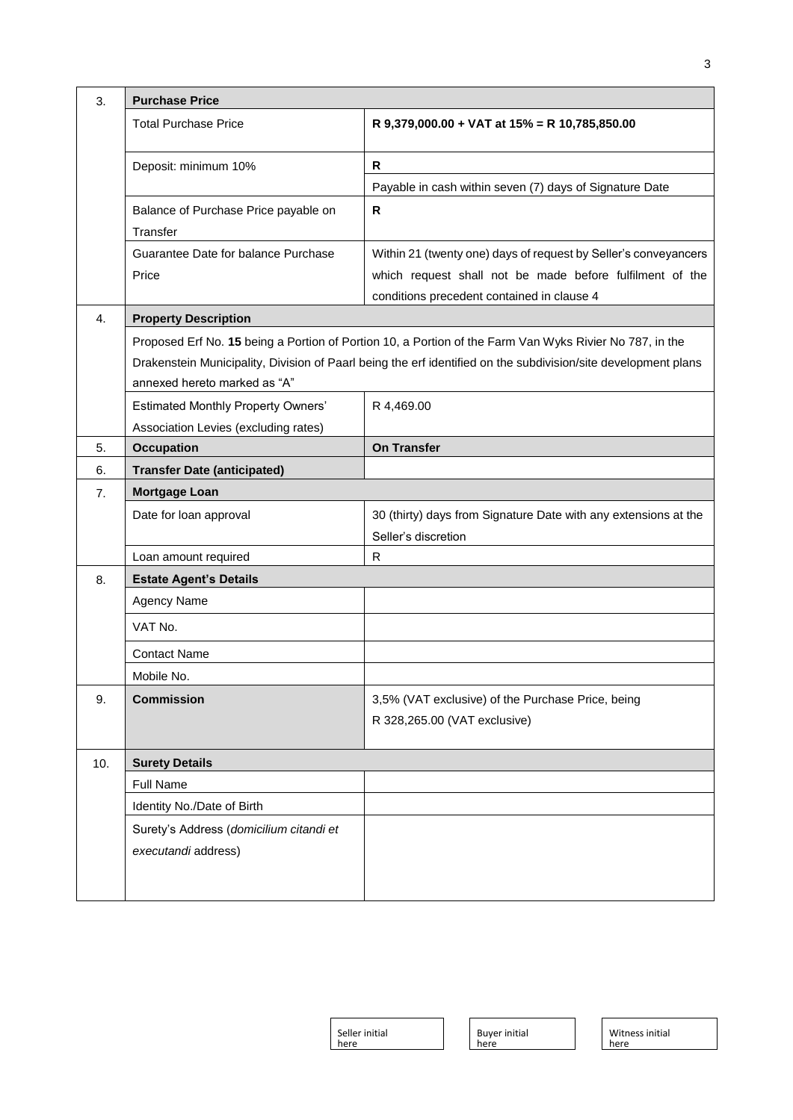| 3.  | <b>Purchase Price</b>                            |                                                                                                                |  |  |  |  |
|-----|--------------------------------------------------|----------------------------------------------------------------------------------------------------------------|--|--|--|--|
|     | <b>Total Purchase Price</b>                      | R 9,379,000.00 + VAT at 15% = R 10,785,850.00                                                                  |  |  |  |  |
|     | Deposit: minimum 10%                             | R                                                                                                              |  |  |  |  |
|     |                                                  | Payable in cash within seven (7) days of Signature Date                                                        |  |  |  |  |
|     | Balance of Purchase Price payable on<br>Transfer | R                                                                                                              |  |  |  |  |
|     | Guarantee Date for balance Purchase              | Within 21 (twenty one) days of request by Seller's conveyancers                                                |  |  |  |  |
|     | Price                                            | which request shall not be made before fulfilment of the                                                       |  |  |  |  |
|     |                                                  | conditions precedent contained in clause 4                                                                     |  |  |  |  |
| 4.  | <b>Property Description</b>                      |                                                                                                                |  |  |  |  |
|     |                                                  | Proposed Erf No. 15 being a Portion of Portion 10, a Portion of the Farm Van Wyks Rivier No 787, in the        |  |  |  |  |
|     | annexed hereto marked as "A"                     | Drakenstein Municipality, Division of Paarl being the erf identified on the subdivision/site development plans |  |  |  |  |
|     | <b>Estimated Monthly Property Owners'</b>        | R 4,469.00                                                                                                     |  |  |  |  |
|     | Association Levies (excluding rates)             |                                                                                                                |  |  |  |  |
| 5.  | <b>Occupation</b>                                | <b>On Transfer</b>                                                                                             |  |  |  |  |
| 6.  | <b>Transfer Date (anticipated)</b>               |                                                                                                                |  |  |  |  |
| 7.  | <b>Mortgage Loan</b>                             |                                                                                                                |  |  |  |  |
|     | Date for loan approval                           | 30 (thirty) days from Signature Date with any extensions at the                                                |  |  |  |  |
|     |                                                  | Seller's discretion                                                                                            |  |  |  |  |
|     | Loan amount required                             | R                                                                                                              |  |  |  |  |
| 8.  | <b>Estate Agent's Details</b>                    |                                                                                                                |  |  |  |  |
|     | Agency Name                                      |                                                                                                                |  |  |  |  |
|     | VAT No.                                          |                                                                                                                |  |  |  |  |
|     | <b>Contact Name</b>                              |                                                                                                                |  |  |  |  |
|     | Mobile No.                                       |                                                                                                                |  |  |  |  |
| 9.  | <b>Commission</b>                                | 3,5% (VAT exclusive) of the Purchase Price, being                                                              |  |  |  |  |
|     |                                                  | R 328,265.00 (VAT exclusive)                                                                                   |  |  |  |  |
| 10. | <b>Surety Details</b>                            |                                                                                                                |  |  |  |  |
|     | <b>Full Name</b>                                 |                                                                                                                |  |  |  |  |
|     | Identity No./Date of Birth                       |                                                                                                                |  |  |  |  |
|     | Surety's Address (domicilium citandi et          |                                                                                                                |  |  |  |  |
|     | executandi address)                              |                                                                                                                |  |  |  |  |
|     |                                                  |                                                                                                                |  |  |  |  |
|     |                                                  |                                                                                                                |  |  |  |  |

3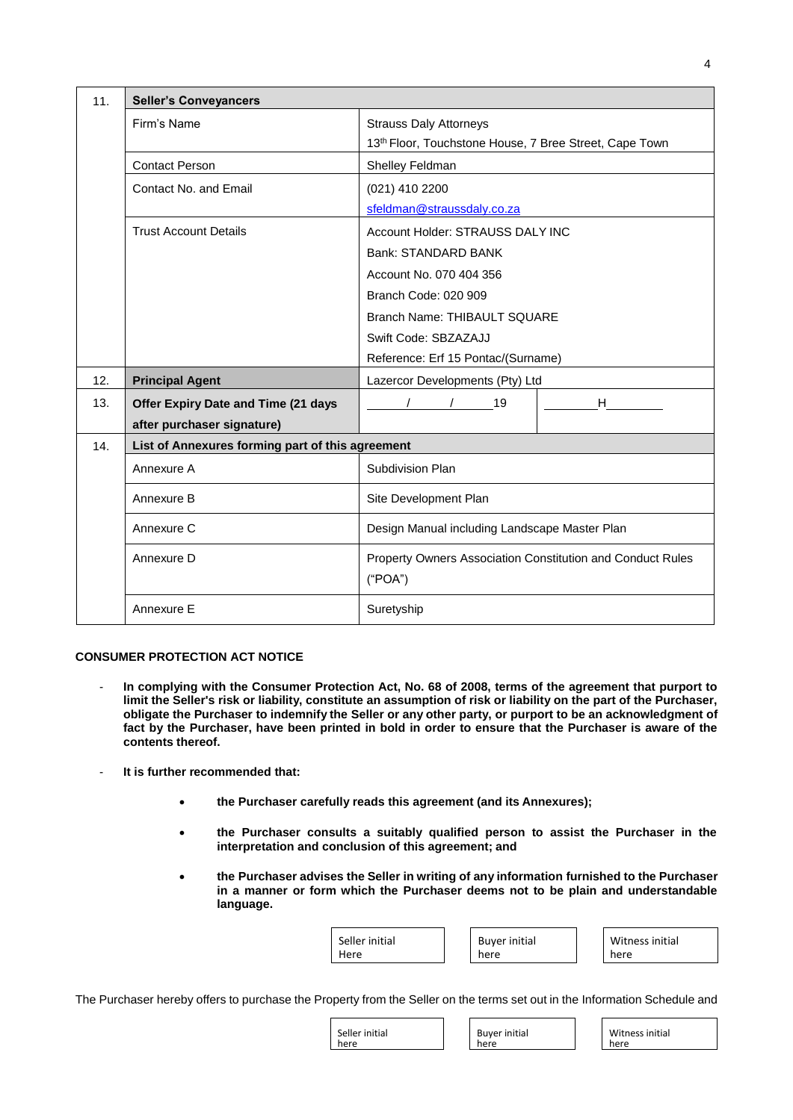| 11.                   | <b>Seller's Conveyancers</b>                     |                                                                                         |  |  |  |
|-----------------------|--------------------------------------------------|-----------------------------------------------------------------------------------------|--|--|--|
|                       | Firm's Name                                      | <b>Strauss Daly Attorneys</b><br>13th Floor, Touchstone House, 7 Bree Street, Cape Town |  |  |  |
|                       | <b>Contact Person</b>                            | Shelley Feldman                                                                         |  |  |  |
|                       | Contact No. and Email                            | (021) 410 2200                                                                          |  |  |  |
|                       |                                                  | sfeldman@straussdaly.co.za                                                              |  |  |  |
|                       | <b>Trust Account Details</b>                     | Account Holder: STRAUSS DALY INC                                                        |  |  |  |
|                       |                                                  | Bank: STANDARD BANK                                                                     |  |  |  |
|                       |                                                  | Account No. 070 404 356                                                                 |  |  |  |
|                       |                                                  | Branch Code: 020 909                                                                    |  |  |  |
|                       |                                                  | Branch Name: THIBAULT SQUARE                                                            |  |  |  |
|                       |                                                  | Swift Code: SBZAZAJJ                                                                    |  |  |  |
|                       |                                                  | Reference: Erf 15 Pontac/(Surname)                                                      |  |  |  |
| 12.                   | <b>Principal Agent</b>                           | Lazercor Developments (Pty) Ltd                                                         |  |  |  |
| 13.                   | Offer Expiry Date and Time (21 days              | H<br>19                                                                                 |  |  |  |
|                       | after purchaser signature)                       |                                                                                         |  |  |  |
| 14.                   | List of Annexures forming part of this agreement |                                                                                         |  |  |  |
|                       | Annexure A                                       | Subdivision Plan                                                                        |  |  |  |
| Annexure B            |                                                  | Site Development Plan                                                                   |  |  |  |
|                       | Annexure C                                       | Design Manual including Landscape Master Plan                                           |  |  |  |
| Annexure D<br>("POA") |                                                  | Property Owners Association Constitution and Conduct Rules                              |  |  |  |
|                       | Annexure E                                       | Suretyship                                                                              |  |  |  |

## **CONSUMER PROTECTION ACT NOTICE**

- In complying with the Consumer Protection Act, No. 68 of 2008, terms of the agreement that purport to **limit the Seller's risk or liability, constitute an assumption of risk or liability on the part of the Purchaser, obligate the Purchaser to indemnify the Seller or any other party, or purport to be an acknowledgment of fact by the Purchaser, have been printed in bold in order to ensure that the Purchaser is aware of the contents thereof.**
- **It is further recommended that:**
	- **the Purchaser carefully reads this agreement (and its Annexures);**
	- **the Purchaser consults a suitably qualified person to assist the Purchaser in the interpretation and conclusion of this agreement; and**
	- **the Purchaser advises the Seller in writing of any information furnished to the Purchaser in a manner or form which the Purchaser deems not to be plain and understandable language.**

| Seller initial | <b>Buyer initial</b> | Witness initial |
|----------------|----------------------|-----------------|
| Here           | here                 | here            |
|                |                      |                 |

The Purchaser hereby offers to purchase the Property from the Seller on the terms set out in the Information Schedule and

| Seller initial | Buyer initial | Witness initial |
|----------------|---------------|-----------------|
| here           | here          | here            |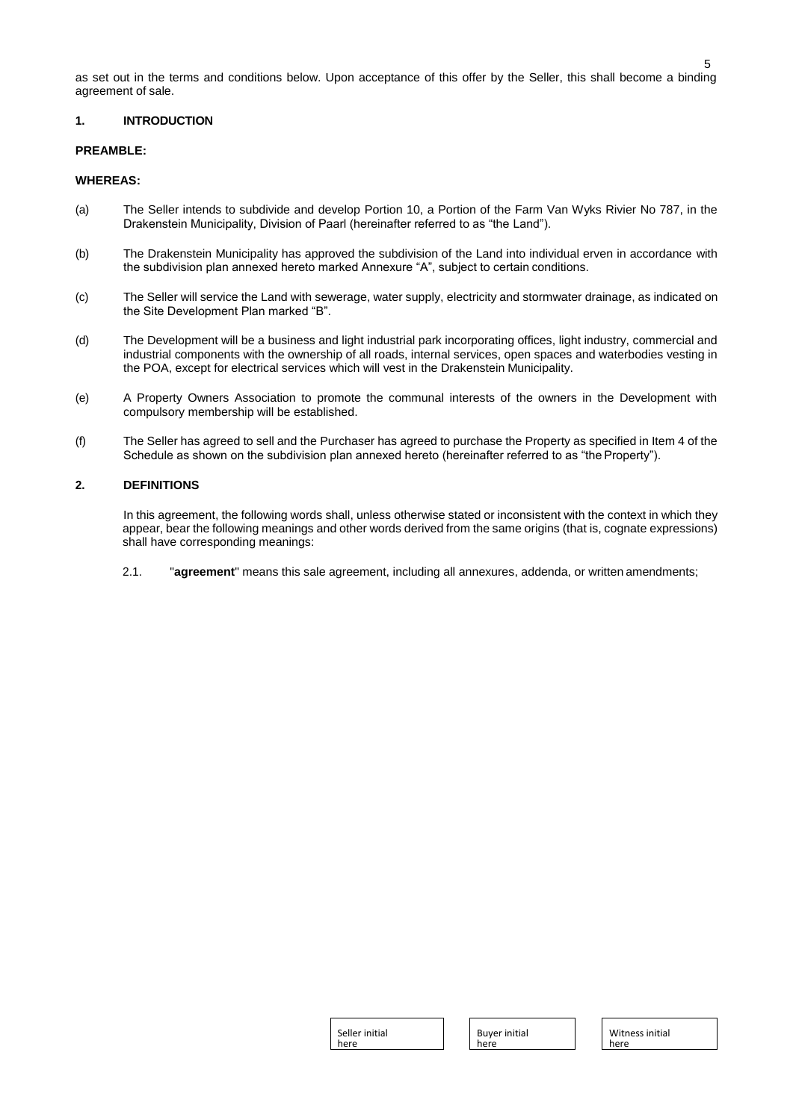as set out in the terms and conditions below. Upon acceptance of this offer by the Seller, this shall become a binding agreement of sale.

# **1. INTRODUCTION**

# **PREAMBLE:**

#### **WHEREAS:**

- (a) The Seller intends to subdivide and develop Portion 10, a Portion of the Farm Van Wyks Rivier No 787, in the Drakenstein Municipality, Division of Paarl (hereinafter referred to as "the Land").
- (b) The Drakenstein Municipality has approved the subdivision of the Land into individual erven in accordance with the subdivision plan annexed hereto marked Annexure "A", subject to certain conditions.
- (c) The Seller will service the Land with sewerage, water supply, electricity and stormwater drainage, as indicated on the Site Development Plan marked "B".
- (d) The Development will be a business and light industrial park incorporating offices, light industry, commercial and industrial components with the ownership of all roads, internal services, open spaces and waterbodies vesting in the POA, except for electrical services which will vest in the Drakenstein Municipality.
- (e) A Property Owners Association to promote the communal interests of the owners in the Development with compulsory membership will be established.
- (f) The Seller has agreed to sell and the Purchaser has agreed to purchase the Property as specified in Item 4 of the Schedule as shown on the subdivision plan annexed hereto (hereinafter referred to as "the Property").

#### **2. DEFINITIONS**

In this agreement, the following words shall, unless otherwise stated or inconsistent with the context in which they appear, bear the following meanings and other words derived from the same origins (that is, cognate expressions) shall have corresponding meanings:

2.1. "**agreement**" means this sale agreement, including all annexures, addenda, or written amendments;

| Seller initial |  |
|----------------|--|
| here           |  |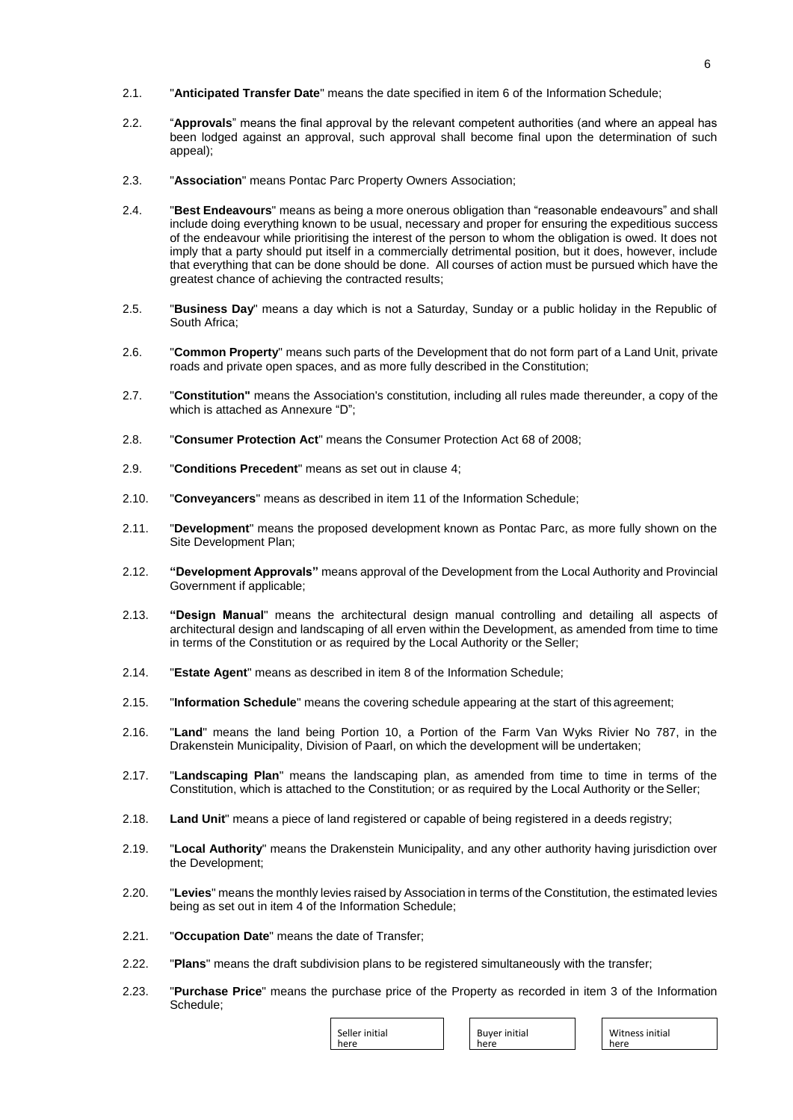- 2.1. "**Anticipated Transfer Date**" means the date specified in item 6 of the Information Schedule;
- 2.2. "**Approvals**" means the final approval by the relevant competent authorities (and where an appeal has been lodged against an approval, such approval shall become final upon the determination of such appeal);
- 2.3. "**Association**" means Pontac Parc Property Owners Association;
- 2.4. "**Best Endeavours**" means as being a more onerous obligation than "reasonable endeavours" and shall include doing everything known to be usual, necessary and proper for ensuring the expeditious success of the endeavour while prioritising the interest of the person to whom the obligation is owed. It does not imply that a party should put itself in a commercially detrimental position, but it does, however, include that everything that can be done should be done. All courses of action must be pursued which have the greatest chance of achieving the contracted results;
- 2.5. "**Business Day**" means a day which is not a Saturday, Sunday or a public holiday in the Republic of South Africa;
- 2.6. "**Common Property**" means such parts of the Development that do not form part of a Land Unit, private roads and private open spaces, and as more fully described in the Constitution;
- 2.7. "**Constitution"** means the Association's constitution, including all rules made thereunder, a copy of the which is attached as Annexure "D";
- 2.8. "**Consumer Protection Act**" means the Consumer Protection Act 68 of 2008;
- 2.9. "**Conditions Precedent**" means as set out in clause 4;
- 2.10. "**Conveyancers**" means as described in item 11 of the Information Schedule;
- 2.11. "**Development**" means the proposed development known as Pontac Parc, as more fully shown on the Site Development Plan;
- 2.12. **"Development Approvals"** means approval of the Development from the Local Authority and Provincial Government if applicable;
- 2.13. **"Design Manual**" means the architectural design manual controlling and detailing all aspects of architectural design and landscaping of all erven within the Development, as amended from time to time in terms of the Constitution or as required by the Local Authority or the Seller;
- 2.14. "**Estate Agent**" means as described in item 8 of the Information Schedule;
- 2.15. "**Information Schedule**" means the covering schedule appearing at the start of this agreement;
- 2.16. "**Land**" means the land being Portion 10, a Portion of the Farm Van Wyks Rivier No 787, in the Drakenstein Municipality, Division of Paarl, on which the development will be undertaken;
- 2.17. "**Landscaping Plan**" means the landscaping plan, as amended from time to time in terms of the Constitution, which is attached to the Constitution; or as required by the Local Authority or theSeller;
- 2.18. **Land Unit**" means a piece of land registered or capable of being registered in a deeds registry;
- 2.19. "**Local Authority**" means the Drakenstein Municipality, and any other authority having jurisdiction over the Development;
- 2.20. "**Levies**" means the monthly levies raised by Association in terms of the Constitution, the estimated levies being as set out in item 4 of the Information Schedule;
- 2.21. "**Occupation Date**" means the date of Transfer;
- 2.22. "**Plans**" means the draft subdivision plans to be registered simultaneously with the transfer;
- 2.23. "**Purchase Price**" means the purchase price of the Property as recorded in item 3 of the Information Schedule;

| Seller initial |  |
|----------------|--|
| here           |  |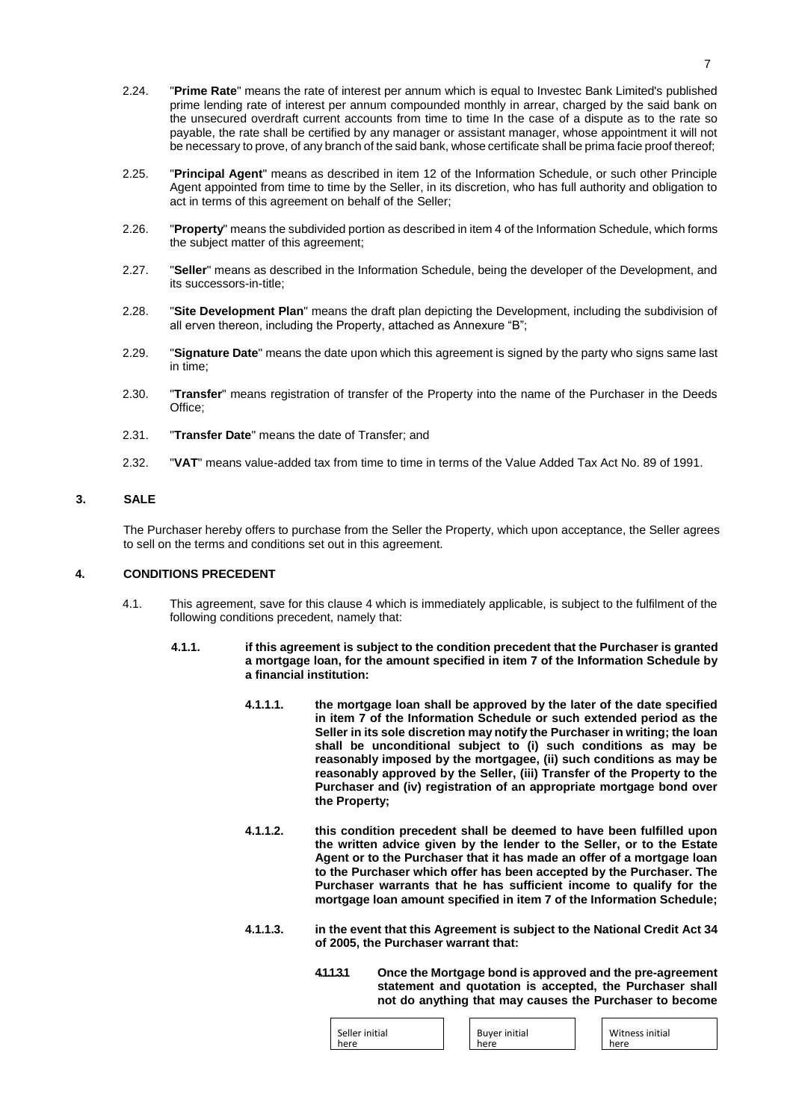- 2.24. "**Prime Rate**" means the rate of interest per annum which is equal to Investec Bank Limited's published prime lending rate of interest per annum compounded monthly in arrear, charged by the said bank on the unsecured overdraft current accounts from time to time In the case of a dispute as to the rate so payable, the rate shall be certified by any manager or assistant manager, whose appointment it will not be necessary to prove, of any branch of the said bank, whose certificate shall be prima facie proof thereof;
- 2.25. "**Principal Agent**" means as described in item 12 of the Information Schedule, or such other Principle Agent appointed from time to time by the Seller, in its discretion, who has full authority and obligation to act in terms of this agreement on behalf of the Seller;
- 2.26. "**Property**" means the subdivided portion as described in item 4 of the Information Schedule, which forms the subject matter of this agreement;
- 2.27. "**Seller**" means as described in the Information Schedule, being the developer of the Development, and its successors-in-title;
- 2.28. "**Site Development Plan**" means the draft plan depicting the Development, including the subdivision of all erven thereon, including the Property, attached as Annexure "B";
- 2.29. "**Signature Date**" means the date upon which this agreement is signed by the party who signs same last in time;
- 2.30. "**Transfer**" means registration of transfer of the Property into the name of the Purchaser in the Deeds Office;
- 2.31. "**Transfer Date**" means the date of Transfer; and
- 2.32. "**VAT**" means value-added tax from time to time in terms of the Value Added Tax Act No. 89 of 1991.

# **3. SALE**

The Purchaser hereby offers to purchase from the Seller the Property, which upon acceptance, the Seller agrees to sell on the terms and conditions set out in this agreement.

## **4. CONDITIONS PRECEDENT**

- 4.1. This agreement, save for this clause 4 which is immediately applicable, is subject to the fulfilment of the following conditions precedent, namely that:
	- **4.1.1. if this agreement is subject to the condition precedent that the Purchaser is granted a mortgage loan, for the amount specified in item 7 of the Information Schedule by a financial institution:**
		- **4.1.1.1. the mortgage loan shall be approved by the later of the date specified in item 7 of the Information Schedule or such extended period as the Seller in its sole discretion may notify the Purchaser in writing; the loan shall be unconditional subject to (i) such conditions as may be reasonably imposed by the mortgagee, (ii) such conditions as may be reasonably approved by the Seller, (iii) Transfer of the Property to the Purchaser and (iv) registration of an appropriate mortgage bond over the Property;**
		- **4.1.1.2. this condition precedent shall be deemed to have been fulfilled upon the written advice given by the lender to the Seller, or to the Estate Agent or to the Purchaser that it has made an offer of a mortgage loan to the Purchaser which offer has been accepted by the Purchaser. The Purchaser warrants that he has sufficient income to qualify for the mortgage loan amount specified in item 7 of the Information Schedule;**
		- **4.1.1.3. in the event that this Agreement is subject to the National Credit Act 34 of 2005, the Purchaser warrant that:**
			- **4.1.1.3.1 Once the Mortgage bond is approved and the pre-agreement statement and quotation is accepted, the Purchaser shall not do anything that may causes the Purchaser to become**

| Seller initial | Buyer initial | Witness initial |
|----------------|---------------|-----------------|
| here           | here          | here            |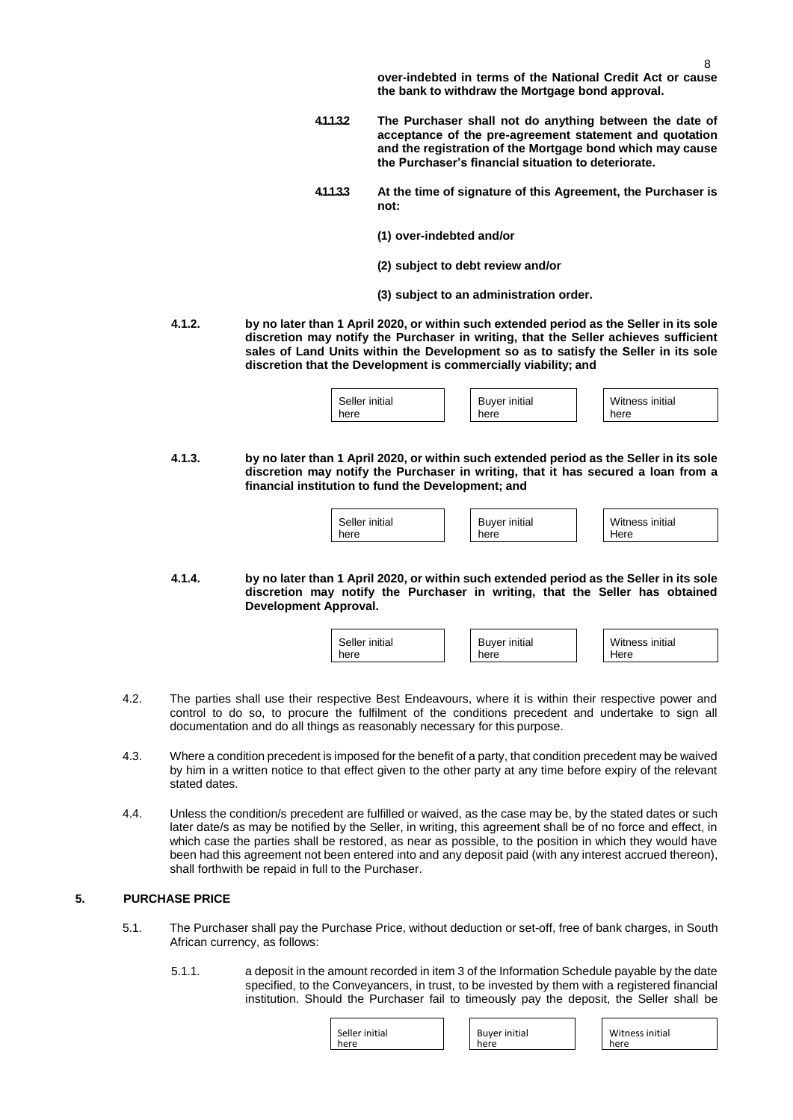**over-indebted in terms of the National Credit Act or cause the bank to withdraw the Mortgage bond approval.**

- **4.1.1.3.2 The Purchaser shall not do anything between the date of acceptance of the pre-agreement statement and quotation and the registration of the Mortgage bond which may cause the Purchaser's financial situation to deteriorate.**
- **4.1.1.3.3 At the time of signature of this Agreement, the Purchaser is not:**
	- **(1) over-indebted and/or**
	- **(2) subject to debt review and/or**
	- **(3) subject to an administration order.**
- **4.1.2. by no later than 1 April 2020, or within such extended period as the Seller in its sole discretion may notify the Purchaser in writing, that the Seller achieves sufficient sales of Land Units within the Development so as to satisfy the Seller in its sole discretion that the Development is commercially viability; and**

**4.1.3. by no later than 1 April 2020, or within such extended period as the Seller in its sole discretion may notify the Purchaser in writing, that it has secured a loan from a financial institution to fund the Development; and**

| Seller initial<br>here | <b>Buver initial</b><br>here | Witness initial<br>Here |
|------------------------|------------------------------|-------------------------|

**4.1.4. by no later than 1 April 2020, or within such extended period as the Seller in its sole discretion may notify the Purchaser in writing, that the Seller has obtained Development Approval.**

| Seller initial | <b>Buyer initial</b> | Witness initial |
|----------------|----------------------|-----------------|
| here           | here                 | Here            |

- 4.2. The parties shall use their respective Best Endeavours, where it is within their respective power and control to do so, to procure the fulfilment of the conditions precedent and undertake to sign all documentation and do all things as reasonably necessary for this purpose.
- 4.3. Where a condition precedent is imposed for the benefit of a party, that condition precedent may be waived by him in a written notice to that effect given to the other party at any time before expiry of the relevant stated dates.
- 4.4. Unless the condition/s precedent are fulfilled or waived, as the case may be, by the stated dates or such later date/s as may be notified by the Seller, in writing, this agreement shall be of no force and effect, in which case the parties shall be restored, as near as possible, to the position in which they would have been had this agreement not been entered into and any deposit paid (with any interest accrued thereon), shall forthwith be repaid in full to the Purchaser.

# **5. PURCHASE PRICE**

- 5.1. The Purchaser shall pay the Purchase Price, without deduction or set-off, free of bank charges, in South African currency, as follows:
	- 5.1.1. a deposit in the amount recorded in item 3 of the Information Schedule payable by the date specified, to the Conveyancers, in trust, to be invested by them with a registered financial institution. Should the Purchaser fail to timeously pay the deposit, the Seller shall be

| Seller initial<br>here | <b>Buyer initial</b><br>here | Witness initial<br>here |
|------------------------|------------------------------|-------------------------|
|                        |                              |                         |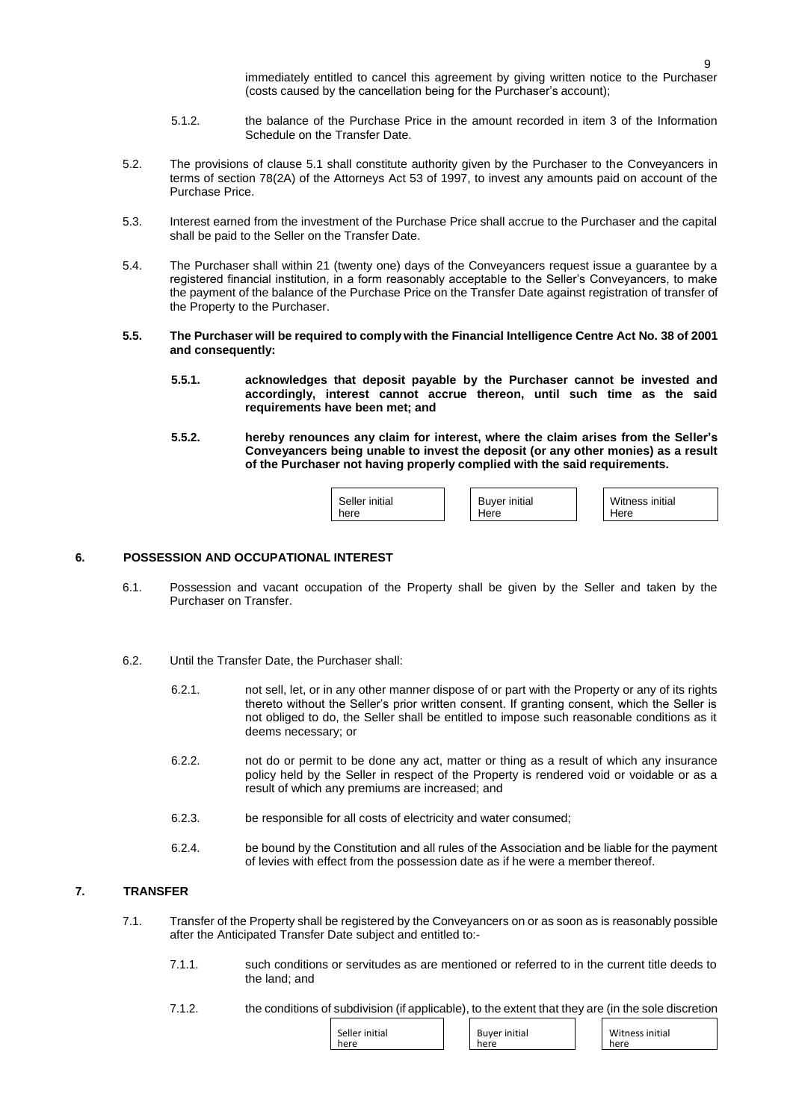immediately entitled to cancel this agreement by giving written notice to the Purchaser (costs caused by the cancellation being for the Purchaser's account);

- 5.1.2. the balance of the Purchase Price in the amount recorded in item 3 of the Information Schedule on the Transfer Date.
- 5.2. The provisions of clause 5.1 shall constitute authority given by the Purchaser to the Conveyancers in terms of section 78(2A) of the Attorneys Act 53 of 1997, to invest any amounts paid on account of the Purchase Price.
- 5.3. Interest earned from the investment of the Purchase Price shall accrue to the Purchaser and the capital shall be paid to the Seller on the Transfer Date.
- 5.4. The Purchaser shall within 21 (twenty one) days of the Conveyancers request issue a guarantee by a registered financial institution, in a form reasonably acceptable to the Seller's Conveyancers, to make the payment of the balance of the Purchase Price on the Transfer Date against registration of transfer of the Property to the Purchaser.
- 5.5. The Purchaser will be required to comply with the Financial Intelligence Centre Act No. 38 of 2001 **and consequently:**
	- **5.5.1. acknowledges that deposit payable by the Purchaser cannot be invested and accordingly, interest cannot accrue thereon, until such time as the said requirements have been met; and**
	- **5.5.2. hereby renounces any claim for interest, where the claim arises from the Seller's Conveyancers being unable to invest the deposit (or any other monies) as a result of the Purchaser not having properly complied with the said requirements.**

| Seller initial | <b>Buyer initial</b> | Witness initial |
|----------------|----------------------|-----------------|
| here           | Here                 | Here            |
|                |                      |                 |

#### **6. POSSESSION AND OCCUPATIONAL INTEREST**

- 6.1. Possession and vacant occupation of the Property shall be given by the Seller and taken by the Purchaser on Transfer.
- 6.2. Until the Transfer Date, the Purchaser shall:
	- 6.2.1. not sell, let, or in any other manner dispose of or part with the Property or any of its rights thereto without the Seller's prior written consent. If granting consent, which the Seller is not obliged to do, the Seller shall be entitled to impose such reasonable conditions as it deems necessary; or
	- 6.2.2. not do or permit to be done any act, matter or thing as a result of which any insurance policy held by the Seller in respect of the Property is rendered void or voidable or as a result of which any premiums are increased; and
	- 6.2.3. be responsible for all costs of electricity and water consumed;
	- 6.2.4. be bound by the Constitution and all rules of the Association and be liable for the payment of levies with effect from the possession date as if he were a member thereof.

## **7. TRANSFER**

- 7.1. Transfer of the Property shall be registered by the Conveyancers on or as soon as is reasonably possible after the Anticipated Transfer Date subject and entitled to:-
	- 7.1.1. such conditions or servitudes as are mentioned or referred to in the current title deeds to the land; and
	- 7.1.2. the conditions of subdivision (if applicable), to the extent that they are (in the sole discretion

| Seller initial | <b>Buyer initial</b> | Witness initial |
|----------------|----------------------|-----------------|
| here           | here                 | here            |
|                |                      |                 |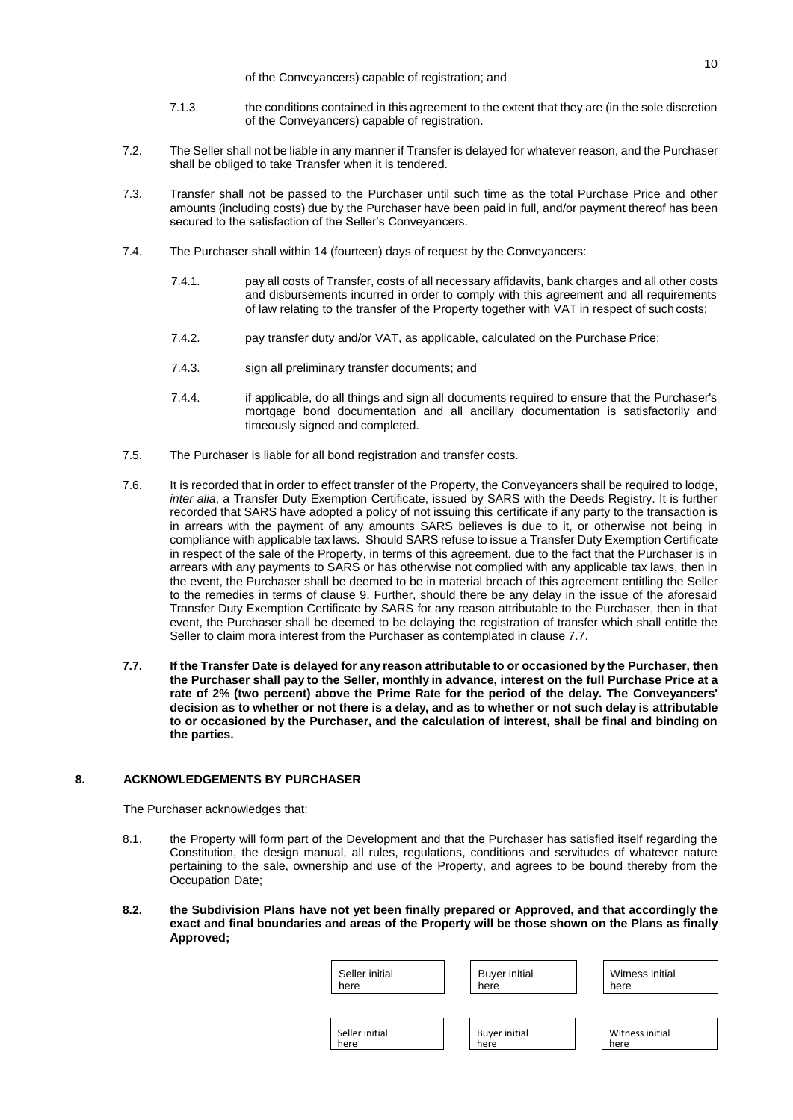- 7.1.3. the conditions contained in this agreement to the extent that they are (in the sole discretion of the Conveyancers) capable of registration.
- 7.2. The Seller shall not be liable in any manner if Transfer is delayed for whatever reason, and the Purchaser shall be obliged to take Transfer when it is tendered.
- 7.3. Transfer shall not be passed to the Purchaser until such time as the total Purchase Price and other amounts (including costs) due by the Purchaser have been paid in full, and/or payment thereof has been secured to the satisfaction of the Seller's Conveyancers.
- 7.4. The Purchaser shall within 14 (fourteen) days of request by the Conveyancers:
	- 7.4.1. pay all costs of Transfer, costs of all necessary affidavits, bank charges and all other costs and disbursements incurred in order to comply with this agreement and all requirements of law relating to the transfer of the Property together with VAT in respect of such costs;
	- 7.4.2. pay transfer duty and/or VAT, as applicable, calculated on the Purchase Price;
	- 7.4.3. sign all preliminary transfer documents; and
	- 7.4.4. if applicable, do all things and sign all documents required to ensure that the Purchaser's mortgage bond documentation and all ancillary documentation is satisfactorily and timeously signed and completed.
- 7.5. The Purchaser is liable for all bond registration and transfer costs.
- 7.6. It is recorded that in order to effect transfer of the Property, the Conveyancers shall be required to lodge, *inter alia*, a Transfer Duty Exemption Certificate, issued by SARS with the Deeds Registry. It is further recorded that SARS have adopted a policy of not issuing this certificate if any party to the transaction is in arrears with the payment of any amounts SARS believes is due to it, or otherwise not being in compliance with applicable tax laws. Should SARS refuse to issue a Transfer Duty Exemption Certificate in respect of the sale of the Property, in terms of this agreement, due to the fact that the Purchaser is in arrears with any payments to SARS or has otherwise not complied with any applicable tax laws, then in the event, the Purchaser shall be deemed to be in material breach of this agreement entitling the Seller to the remedies in terms of clause 9. Further, should there be any delay in the issue of the aforesaid Transfer Duty Exemption Certificate by SARS for any reason attributable to the Purchaser, then in that event, the Purchaser shall be deemed to be delaying the registration of transfer which shall entitle the Seller to claim mora interest from the Purchaser as contemplated in clause 7.7.
- 7.7. If the Transfer Date is delayed for any reason attributable to or occasioned by the Purchaser, then **the Purchaser shall pay to the Seller, monthly in advance, interest on the full Purchase Price at a rate of 2% (two percent) above the Prime Rate for the period of the delay. The Conveyancers'**  decision as to whether or not there is a delay, and as to whether or not such delay is attributable **to or occasioned by the Purchaser, and the calculation of interest, shall be final and binding on the parties.**

# **8. ACKNOWLEDGEMENTS BY PURCHASER**

The Purchaser acknowledges that:

- 8.1. the Property will form part of the Development and that the Purchaser has satisfied itself regarding the Constitution, the design manual, all rules, regulations, conditions and servitudes of whatever nature pertaining to the sale, ownership and use of the Property, and agrees to be bound thereby from the Occupation Date;
- **8.2. the Subdivision Plans have not yet been finally prepared or Approved, and that accordingly the exact and final boundaries and areas of the Property will be those shown on the Plans as finally Approved;**

| Seller initial | <b>Buyer initial</b> | Witness initial |
|----------------|----------------------|-----------------|
| here           | here                 | here            |
|                |                      |                 |
| Seller initial | <b>Buyer initial</b> | Witness initial |
| here           | here                 | here            |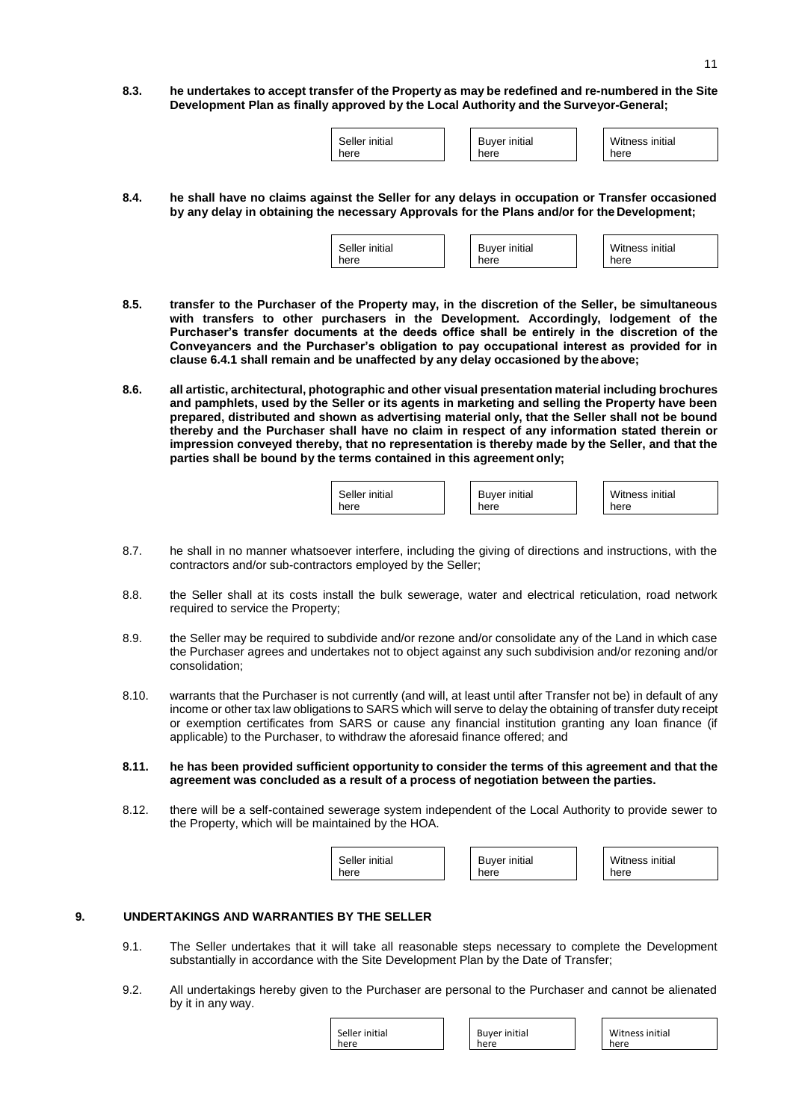8.3. he undertakes to accept transfer of the Property as may be redefined and re-numbered in the Site **Development Plan as finally approved by the Local Authority and the Surveyor-General;**

| Seller initial<br>here | <b>Buyer initial</b><br>here | Witness initial<br>here |
|------------------------|------------------------------|-------------------------|
|                        |                              |                         |

**8.4. he shall have no claims against the Seller for any delays in occupation or Transfer occasioned by any delay in obtaining the necessary Approvals for the Plans and/or for the Development;**

| Seller initial | <b>Buyer initial</b> | Witness initial |
|----------------|----------------------|-----------------|
| here           | here                 | here            |

- **8.5. transfer to the Purchaser of the Property may, in the discretion of the Seller, be simultaneous with transfers to other purchasers in the Development. Accordingly, lodgement of the Purchaser's transfer documents at the deeds office shall be entirely in the discretion of the Conveyancers and the Purchaser's obligation to pay occupational interest as provided for in clause 6.4.1 shall remain and be unaffected by any delay occasioned by the above;**
- **8.6. all artistic, architectural, photographic and other visual presentation material including brochures and pamphlets, used by the Seller or its agents in marketing and selling the Property have been prepared, distributed and shown as advertising material only, that the Seller shall not be bound thereby and the Purchaser shall have no claim in respect of any information stated therein or impression conveyed thereby, that no representation is thereby made by the Seller, and that the parties shall be bound by the terms contained in this agreement only;**

| Seller initial | <b>Buyer initial</b> | Witness initial |
|----------------|----------------------|-----------------|
| here           | here                 | here            |

- 8.7. he shall in no manner whatsoever interfere, including the giving of directions and instructions, with the contractors and/or sub-contractors employed by the Seller;
- 8.8. the Seller shall at its costs install the bulk sewerage, water and electrical reticulation, road network required to service the Property;
- 8.9. the Seller may be required to subdivide and/or rezone and/or consolidate any of the Land in which case the Purchaser agrees and undertakes not to object against any such subdivision and/or rezoning and/or consolidation;
- 8.10. warrants that the Purchaser is not currently (and will, at least until after Transfer not be) in default of any income or other tax law obligations to SARS which will serve to delay the obtaining of transfer duty receipt or exemption certificates from SARS or cause any financial institution granting any loan finance (if applicable) to the Purchaser, to withdraw the aforesaid finance offered; and
- **8.11. he has been provided sufficient opportunity to consider the terms of this agreement and that the agreement was concluded as a result of a process of negotiation between the parties.**
- 8.12. there will be a self-contained sewerage system independent of the Local Authority to provide sewer to the Property, which will be maintained by the HOA.

| Seller initial | <b>Buver initial</b> | Witness initial |
|----------------|----------------------|-----------------|
| here           | here                 | here            |

# **9. UNDERTAKINGS AND WARRANTIES BY THE SELLER**

- 9.1. The Seller undertakes that it will take all reasonable steps necessary to complete the Development substantially in accordance with the Site Development Plan by the Date of Transfer;
- 9.2. All undertakings hereby given to the Purchaser are personal to the Purchaser and cannot be alienated by it in any way.

| Seller initial | <b>Buyer initial</b> |  |
|----------------|----------------------|--|
| here           | here                 |  |
|                |                      |  |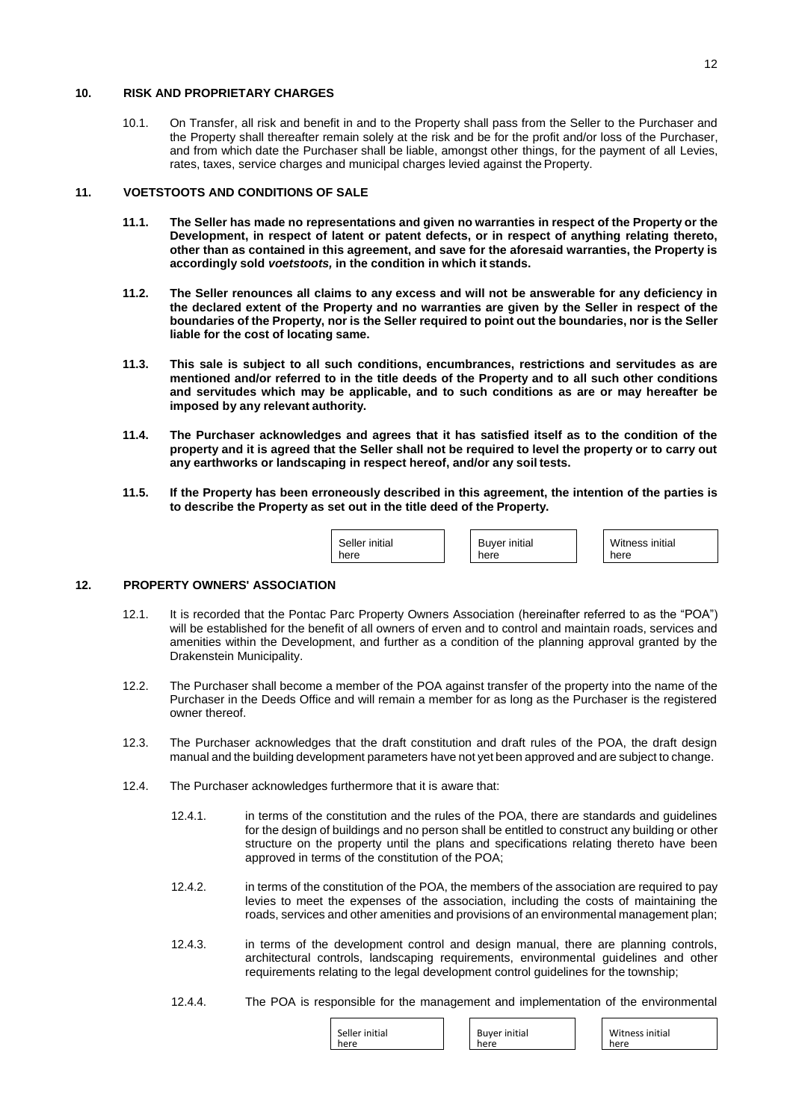# **10. RISK AND PROPRIETARY CHARGES**

10.1. On Transfer, all risk and benefit in and to the Property shall pass from the Seller to the Purchaser and the Property shall thereafter remain solely at the risk and be for the profit and/or loss of the Purchaser, and from which date the Purchaser shall be liable, amongst other things, for the payment of all Levies, rates, taxes, service charges and municipal charges levied against the Property.

# **11. VOETSTOOTS AND CONDITIONS OF SALE**

- 11.1. The Seller has made no representations and given no warranties in respect of the Property or the **Development, in respect of latent or patent defects, or in respect of anything relating thereto, other than as contained in this agreement, and save for the aforesaid warranties, the Property is accordingly sold** *voetstoots,* **in the condition in which it stands.**
- **11.2. The Seller renounces all claims to any excess and will not be answerable for any deficiency in the declared extent of the Property and no warranties are given by the Seller in respect of the**  boundaries of the Property, nor is the Seller required to point out the boundaries, nor is the Seller **liable for the cost of locating same.**
- **11.3. This sale is subject to all such conditions, encumbrances, restrictions and servitudes as are mentioned and/or referred to in the title deeds of the Property and to all such other conditions and servitudes which may be applicable, and to such conditions as are or may hereafter be imposed by any relevant authority.**
- **11.4. The Purchaser acknowledges and agrees that it has satisfied itself as to the condition of the property and it is agreed that the Seller shall not be required to level the property or to carry out any earthworks or landscaping in respect hereof, and/or any soil tests.**
- **11.5. If the Property has been erroneously described in this agreement, the intention of the parties is to describe the Property as set out in the title deed of the Property.**

| here<br>here | Seller initial | <b>Buyer initial</b> | 'Vitr.<br>here |
|--------------|----------------|----------------------|----------------|
|--------------|----------------|----------------------|----------------|

Witness initial

# **12. PROPERTY OWNERS' ASSOCIATION**

- 12.1. It is recorded that the Pontac Parc Property Owners Association (hereinafter referred to as the "POA") will be established for the benefit of all owners of erven and to control and maintain roads, services and amenities within the Development, and further as a condition of the planning approval granted by the Drakenstein Municipality.
- 12.2. The Purchaser shall become a member of the POA against transfer of the property into the name of the Purchaser in the Deeds Office and will remain a member for as long as the Purchaser is the registered owner thereof.
- 12.3. The Purchaser acknowledges that the draft constitution and draft rules of the POA, the draft design manual and the building development parameters have not yet been approved and are subject to change.
- 12.4. The Purchaser acknowledges furthermore that it is aware that:
	- 12.4.1. in terms of the constitution and the rules of the POA, there are standards and guidelines for the design of buildings and no person shall be entitled to construct any building or other structure on the property until the plans and specifications relating thereto have been approved in terms of the constitution of the POA;
	- 12.4.2. in terms of the constitution of the POA, the members of the association are required to pay levies to meet the expenses of the association, including the costs of maintaining the roads, services and other amenities and provisions of an environmental management plan;
	- 12.4.3. in terms of the development control and design manual, there are planning controls, architectural controls, landscaping requirements, environmental guidelines and other requirements relating to the legal development control guidelines for the township;
	- 12.4.4. The POA is responsible for the management and implementation of the environmental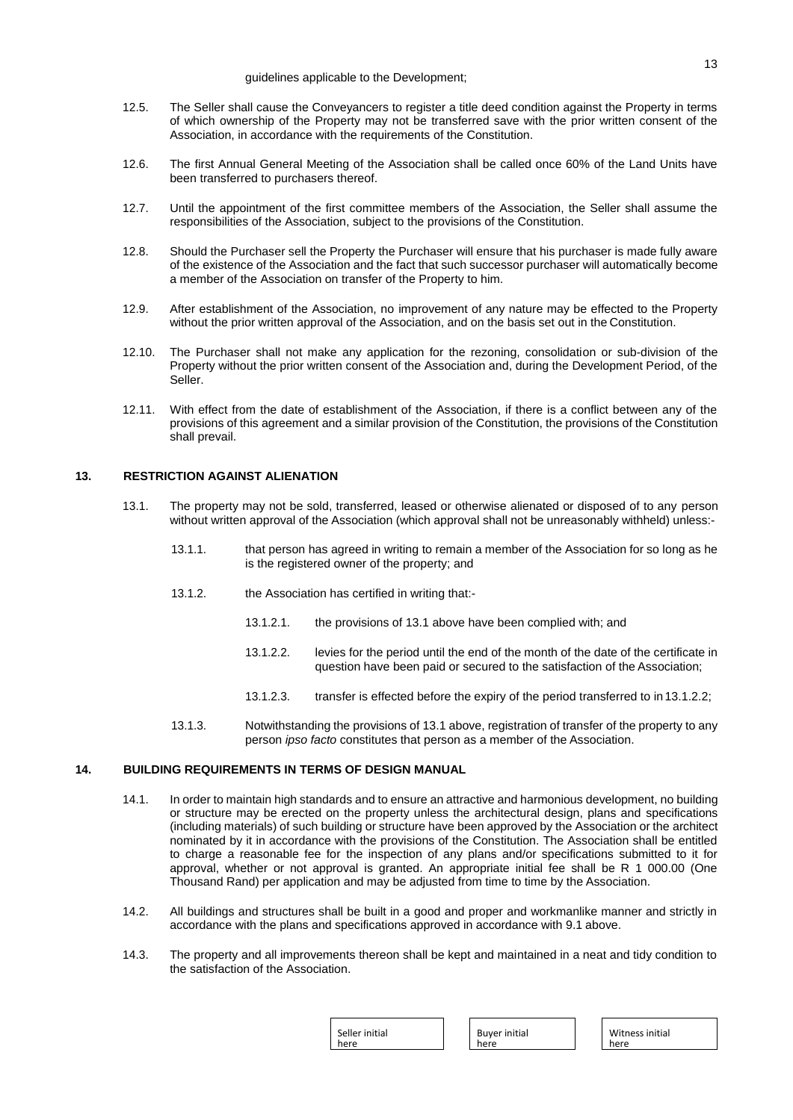- 12.5. The Seller shall cause the Conveyancers to register a title deed condition against the Property in terms of which ownership of the Property may not be transferred save with the prior written consent of the Association, in accordance with the requirements of the Constitution.
- 12.6. The first Annual General Meeting of the Association shall be called once 60% of the Land Units have been transferred to purchasers thereof.
- 12.7. Until the appointment of the first committee members of the Association, the Seller shall assume the responsibilities of the Association, subject to the provisions of the Constitution.
- 12.8. Should the Purchaser sell the Property the Purchaser will ensure that his purchaser is made fully aware of the existence of the Association and the fact that such successor purchaser will automatically become a member of the Association on transfer of the Property to him.
- 12.9. After establishment of the Association, no improvement of any nature may be effected to the Property without the prior written approval of the Association, and on the basis set out in the Constitution.
- 12.10. The Purchaser shall not make any application for the rezoning, consolidation or sub-division of the Property without the prior written consent of the Association and, during the Development Period, of the Seller.
- 12.11. With effect from the date of establishment of the Association, if there is a conflict between any of the provisions of this agreement and a similar provision of the Constitution, the provisions of the Constitution shall prevail.

# **13. RESTRICTION AGAINST ALIENATION**

- 13.1. The property may not be sold, transferred, leased or otherwise alienated or disposed of to any person without written approval of the Association (which approval shall not be unreasonably withheld) unless:-
	- 13.1.1. that person has agreed in writing to remain a member of the Association for so long as he is the registered owner of the property; and
	- 13.1.2. the Association has certified in writing that:-
		- 13.1.2.1. the provisions of 13.1 above have been complied with; and
		- 13.1.2.2. levies for the period until the end of the month of the date of the certificate in question have been paid or secured to the satisfaction of the Association;
		- 13.1.2.3. transfer is effected before the expiry of the period transferred to in 13.1.2.2;
	- 13.1.3. Notwithstanding the provisions of 13.1 above, registration of transfer of the property to any person *ipso facto* constitutes that person as a member of the Association.

# **14. BUILDING REQUIREMENTS IN TERMS OF DESIGN MANUAL**

- 14.1. In order to maintain high standards and to ensure an attractive and harmonious development, no building or structure may be erected on the property unless the architectural design, plans and specifications (including materials) of such building or structure have been approved by the Association or the architect nominated by it in accordance with the provisions of the Constitution. The Association shall be entitled to charge a reasonable fee for the inspection of any plans and/or specifications submitted to it for approval, whether or not approval is granted. An appropriate initial fee shall be R 1 000.00 (One Thousand Rand) per application and may be adjusted from time to time by the Association.
- 14.2. All buildings and structures shall be built in a good and proper and workmanlike manner and strictly in accordance with the plans and specifications approved in accordance with 9.1 above.
- 14.3. The property and all improvements thereon shall be kept and maintained in a neat and tidy condition to the satisfaction of the Association.

| Seller initial | <b>Buyer initial</b> | Witness initial |
|----------------|----------------------|-----------------|
| here           | here                 | here            |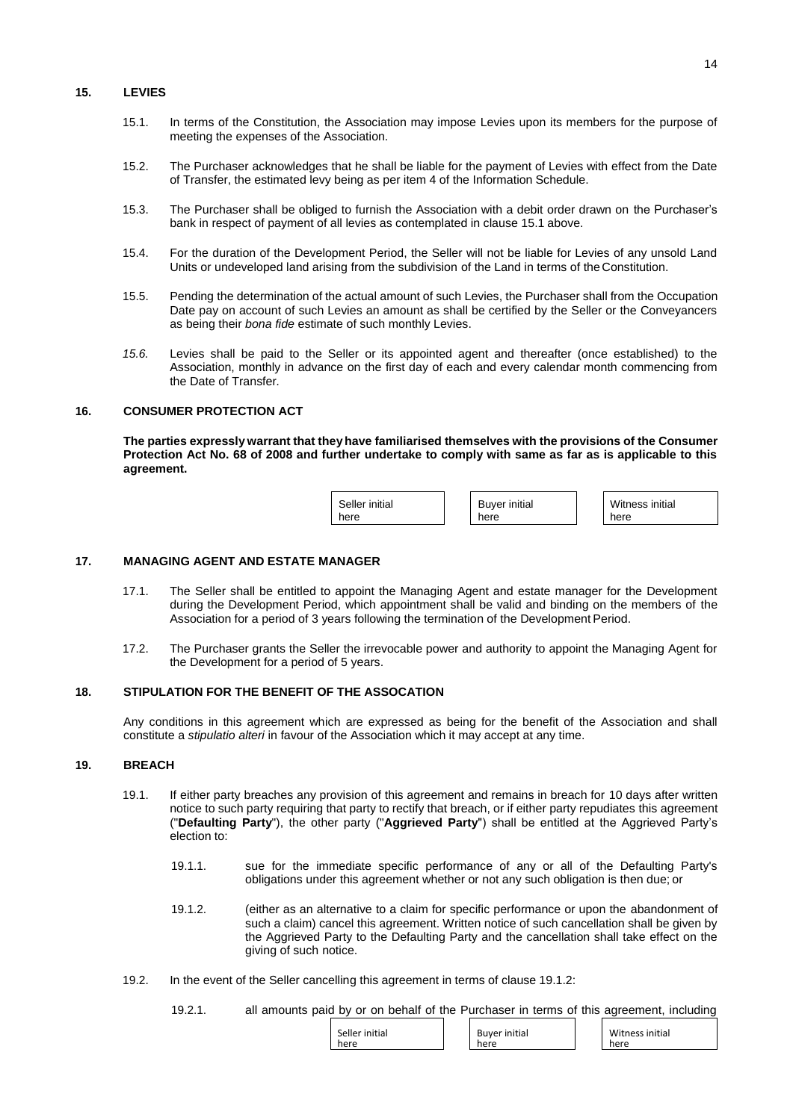#### **15. LEVIES**

- 15.1. In terms of the Constitution, the Association may impose Levies upon its members for the purpose of meeting the expenses of the Association.
- 15.2. The Purchaser acknowledges that he shall be liable for the payment of Levies with effect from the Date of Transfer, the estimated levy being as per item 4 of the Information Schedule.
- 15.3. The Purchaser shall be obliged to furnish the Association with a debit order drawn on the Purchaser's bank in respect of payment of all levies as contemplated in clause 15.1 above.
- 15.4. For the duration of the Development Period, the Seller will not be liable for Levies of any unsold Land Units or undeveloped land arising from the subdivision of the Land in terms of the Constitution.
- 15.5. Pending the determination of the actual amount of such Levies, the Purchaser shall from the Occupation Date pay on account of such Levies an amount as shall be certified by the Seller or the Conveyancers as being their *bona fide* estimate of such monthly Levies.
- *15.6.* Levies shall be paid to the Seller or its appointed agent and thereafter (once established) to the Association, monthly in advance on the first day of each and every calendar month commencing from the Date of Transfer*.*

#### **16. CONSUMER PROTECTION ACT**

**The parties expressly warrant that theyhave familiarised themselves with the provisions of the Consumer Protection Act No. 68 of 2008 and further undertake to comply with same as far as is applicable to this agreement.**

| Seller initial | <b>Buyer initial</b> | Witn |
|----------------|----------------------|------|
| here           | here                 | here |

**17. MANAGING AGENT AND ESTATE MANAGER**

- 17.1. The Seller shall be entitled to appoint the Managing Agent and estate manager for the Development during the Development Period, which appointment shall be valid and binding on the members of the Association for a period of 3 years following the termination of the Development Period.
- 17.2. The Purchaser grants the Seller the irrevocable power and authority to appoint the Managing Agent for the Development for a period of 5 years.

# **18. STIPULATION FOR THE BENEFIT OF THE ASSOCATION**

Any conditions in this agreement which are expressed as being for the benefit of the Association and shall constitute a *stipulatio alteri* in favour of the Association which it may accept at any time.

#### **19. BREACH**

- 19.1. If either party breaches any provision of this agreement and remains in breach for 10 days after written notice to such party requiring that party to rectify that breach, or if either party repudiates this agreement ("**Defaulting Party**"), the other party ("**Aggrieved Party**") shall be entitled at the Aggrieved Party's election to:
	- 19.1.1. sue for the immediate specific performance of any or all of the Defaulting Party's obligations under this agreement whether or not any such obligation is then due; or
	- 19.1.2. (either as an alternative to a claim for specific performance or upon the abandonment of such a claim) cancel this agreement. Written notice of such cancellation shall be given by the Aggrieved Party to the Defaulting Party and the cancellation shall take effect on the giving of such notice.
- 19.2. In the event of the Seller cancelling this agreement in terms of clause 19.1.2:
	- 19.2.1. all amounts paid by or on behalf of the Purchaser in terms of this agreement, including

| Seller initial<br>here | Buyer initial<br>here | Witness initial<br>here |
|------------------------|-----------------------|-------------------------|
|                        |                       |                         |

Witness initial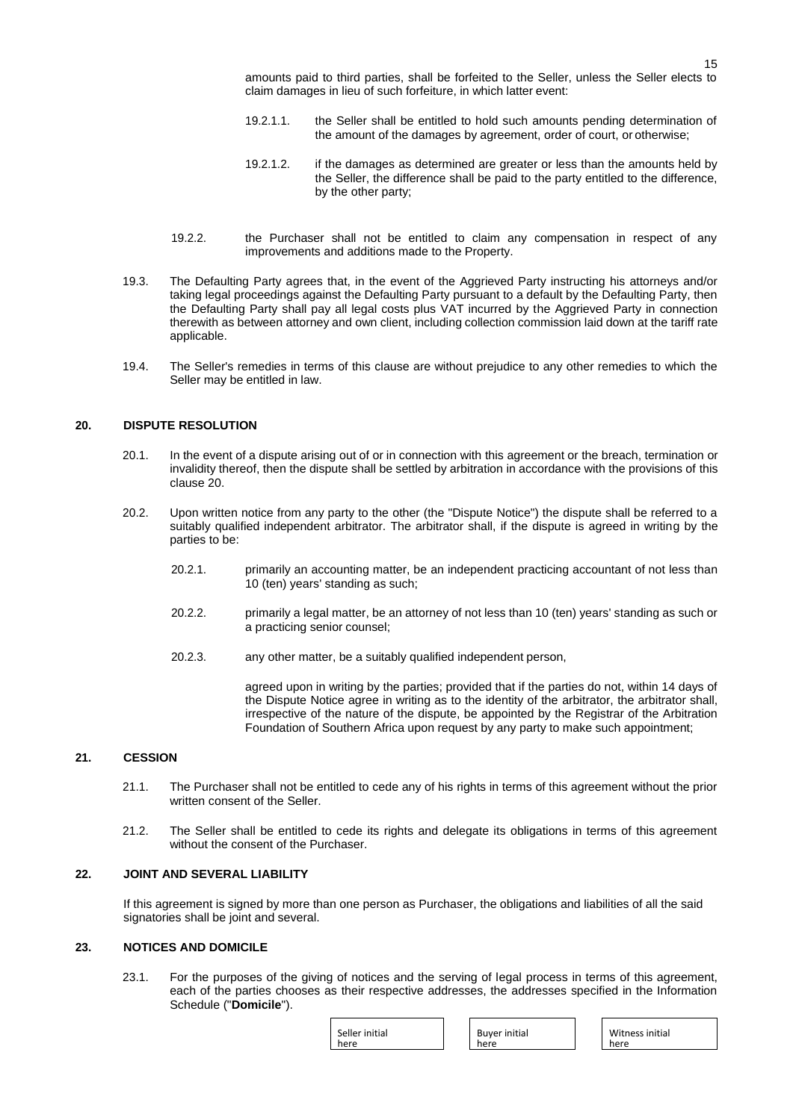amounts paid to third parties, shall be forfeited to the Seller, unless the Seller elects to claim damages in lieu of such forfeiture, in which latter event:

- 19.2.1.1. the Seller shall be entitled to hold such amounts pending determination of the amount of the damages by agreement, order of court, or otherwise;
- 19.2.1.2. if the damages as determined are greater or less than the amounts held by the Seller, the difference shall be paid to the party entitled to the difference, by the other party;
- 19.2.2. the Purchaser shall not be entitled to claim any compensation in respect of any improvements and additions made to the Property.
- 19.3. The Defaulting Party agrees that, in the event of the Aggrieved Party instructing his attorneys and/or taking legal proceedings against the Defaulting Party pursuant to a default by the Defaulting Party, then the Defaulting Party shall pay all legal costs plus VAT incurred by the Aggrieved Party in connection therewith as between attorney and own client, including collection commission laid down at the tariff rate applicable.
- 19.4. The Seller's remedies in terms of this clause are without prejudice to any other remedies to which the Seller may be entitled in law.

#### **20. DISPUTE RESOLUTION**

- 20.1. In the event of a dispute arising out of or in connection with this agreement or the breach, termination or invalidity thereof, then the dispute shall be settled by arbitration in accordance with the provisions of this clause 20.
- 20.2. Upon written notice from any party to the other (the "Dispute Notice") the dispute shall be referred to a suitably qualified independent arbitrator. The arbitrator shall, if the dispute is agreed in writing by the parties to be:
	- 20.2.1. primarily an accounting matter, be an independent practicing accountant of not less than 10 (ten) years' standing as such;
	- 20.2.2. primarily a legal matter, be an attorney of not less than 10 (ten) years' standing as such or a practicing senior counsel;
	- 20.2.3. any other matter, be a suitably qualified independent person,

agreed upon in writing by the parties; provided that if the parties do not, within 14 days of the Dispute Notice agree in writing as to the identity of the arbitrator, the arbitrator shall, irrespective of the nature of the dispute, be appointed by the Registrar of the Arbitration Foundation of Southern Africa upon request by any party to make such appointment;

#### **21. CESSION**

- 21.1. The Purchaser shall not be entitled to cede any of his rights in terms of this agreement without the prior written consent of the Seller.
- 21.2. The Seller shall be entitled to cede its rights and delegate its obligations in terms of this agreement without the consent of the Purchaser.

# **22. JOINT AND SEVERAL LIABILITY**

If this agreement is signed by more than one person as Purchaser, the obligations and liabilities of all the said signatories shall be joint and several.

#### **23. NOTICES AND DOMICILE**

23.1. For the purposes of the giving of notices and the serving of legal process in terms of this agreement, each of the parties chooses as their respective addresses, the addresses specified in the Information Schedule ("**Domicile**").

| Seller initial<br>here | <b>Buyer initial</b><br>here |
|------------------------|------------------------------|
|                        |                              |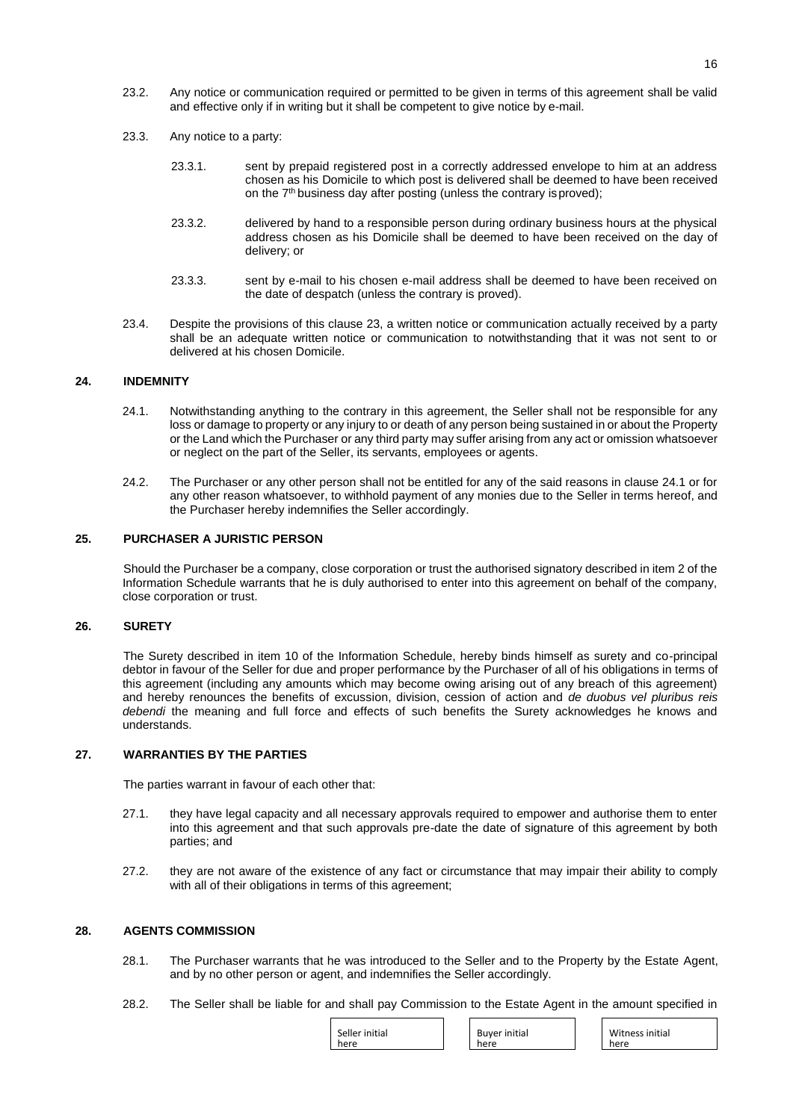- 23.2. Any notice or communication required or permitted to be given in terms of this agreement shall be valid and effective only if in writing but it shall be competent to give notice by e-mail.
- 23.3. Any notice to a party:
	- 23.3.1. sent by prepaid registered post in a correctly addressed envelope to him at an address chosen as his Domicile to which post is delivered shall be deemed to have been received on the 7<sup>th</sup> business day after posting (unless the contrary isproved);
	- 23.3.2. delivered by hand to a responsible person during ordinary business hours at the physical address chosen as his Domicile shall be deemed to have been received on the day of delivery; or
	- 23.3.3. sent by e-mail to his chosen e-mail address shall be deemed to have been received on the date of despatch (unless the contrary is proved).
- 23.4. Despite the provisions of this clause 23, a written notice or communication actually received by a party shall be an adequate written notice or communication to notwithstanding that it was not sent to or delivered at his chosen Domicile.

#### **24. INDEMNITY**

- 24.1. Notwithstanding anything to the contrary in this agreement, the Seller shall not be responsible for any loss or damage to property or any injury to or death of any person being sustained in or about the Property or the Land which the Purchaser or any third party may suffer arising from any act or omission whatsoever or neglect on the part of the Seller, its servants, employees or agents.
- 24.2. The Purchaser or any other person shall not be entitled for any of the said reasons in clause 24.1 or for any other reason whatsoever, to withhold payment of any monies due to the Seller in terms hereof, and the Purchaser hereby indemnifies the Seller accordingly.

# **25. PURCHASER A JURISTIC PERSON**

Should the Purchaser be a company, close corporation or trust the authorised signatory described in item 2 of the Information Schedule warrants that he is duly authorised to enter into this agreement on behalf of the company, close corporation or trust.

#### **26. SURETY**

The Surety described in item 10 of the Information Schedule, hereby binds himself as surety and co-principal debtor in favour of the Seller for due and proper performance by the Purchaser of all of his obligations in terms of this agreement (including any amounts which may become owing arising out of any breach of this agreement) and hereby renounces the benefits of excussion, division, cession of action and *de duobus vel pluribus reis debendi* the meaning and full force and effects of such benefits the Surety acknowledges he knows and understands.

# **27. WARRANTIES BY THE PARTIES**

The parties warrant in favour of each other that:

- 27.1. they have legal capacity and all necessary approvals required to empower and authorise them to enter into this agreement and that such approvals pre-date the date of signature of this agreement by both parties; and
- 27.2. they are not aware of the existence of any fact or circumstance that may impair their ability to comply with all of their obligations in terms of this agreement;

# **28. AGENTS COMMISSION**

- 28.1. The Purchaser warrants that he was introduced to the Seller and to the Property by the Estate Agent, and by no other person or agent, and indemnifies the Seller accordingly.
- 28.2. The Seller shall be liable for and shall pay Commission to the Estate Agent in the amount specified in

| Seller initial<br><b>Buyer initial</b><br>here<br>here |
|--------------------------------------------------------|
|--------------------------------------------------------|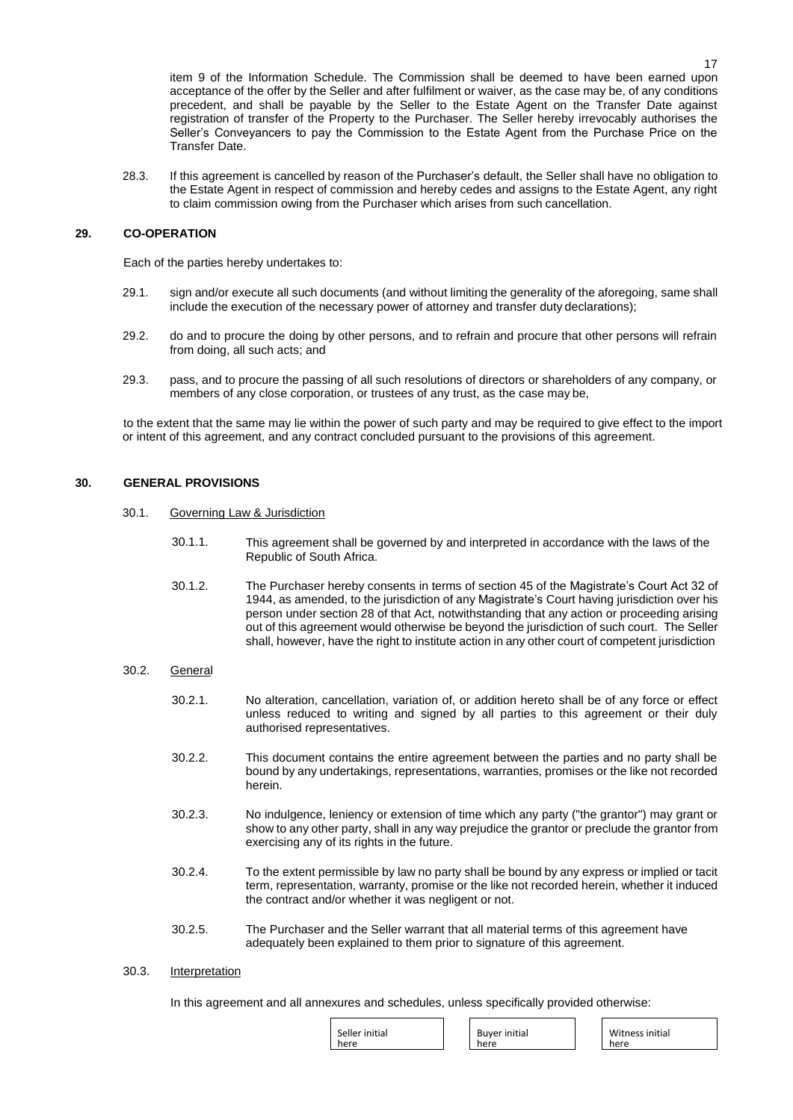item 9 of the Information Schedule. The Commission shall be deemed to have been earned upon acceptance of the offer by the Seller and after fulfilment or waiver, as the case may be, of any conditions precedent, and shall be payable by the Seller to the Estate Agent on the Transfer Date against registration of transfer of the Property to the Purchaser. The Seller hereby irrevocably authorises the Seller's Conveyancers to pay the Commission to the Estate Agent from the Purchase Price on the Transfer Date.

28.3. If this agreement is cancelled by reason of the Purchaser's default, the Seller shall have no obligation to the Estate Agent in respect of commission and hereby cedes and assigns to the Estate Agent, any right to claim commission owing from the Purchaser which arises from such cancellation.

# **29. CO-OPERATION**

Each of the parties hereby undertakes to:

- 29.1. sign and/or execute all such documents (and without limiting the generality of the aforegoing, same shall include the execution of the necessary power of attorney and transfer duty declarations);
- 29.2. do and to procure the doing by other persons, and to refrain and procure that other persons will refrain from doing, all such acts; and
- 29.3. pass, and to procure the passing of all such resolutions of directors or shareholders of any company, or members of any close corporation, or trustees of any trust, as the case may be,

to the extent that the same may lie within the power of such party and may be required to give effect to the import or intent of this agreement, and any contract concluded pursuant to the provisions of this agreement.

## **30. GENERAL PROVISIONS**

- 30.1. Governing Law & Jurisdiction
	- 30.1.1. This agreement shall be governed by and interpreted in accordance with the laws of the Republic of South Africa.
	- 30.1.2. The Purchaser hereby consents in terms of section 45 of the Magistrate's Court Act 32 of 1944, as amended, to the jurisdiction of any Magistrate's Court having jurisdiction over his person under section 28 of that Act, notwithstanding that any action or proceeding arising out of this agreement would otherwise be beyond the jurisdiction of such court. The Seller shall, however, have the right to institute action in any other court of competent jurisdiction

## 30.2. General

- 30.2.1. No alteration, cancellation, variation of, or addition hereto shall be of any force or effect unless reduced to writing and signed by all parties to this agreement or their duly authorised representatives.
- 30.2.2. This document contains the entire agreement between the parties and no party shall be bound by any undertakings, representations, warranties, promises or the like not recorded herein.
- 30.2.3. No indulgence, leniency or extension of time which any party ("the grantor") may grant or show to any other party, shall in any way prejudice the grantor or preclude the grantor from exercising any of its rights in the future.
- 30.2.4. To the extent permissible by law no party shall be bound by any express or implied or tacit term, representation, warranty, promise or the like not recorded herein, whether it induced the contract and/or whether it was negligent or not.
- 30.2.5. The Purchaser and the Seller warrant that all material terms of this agreement have adequately been explained to them prior to signature of this agreement.

## 30.3. Interpretation

In this agreement and all annexures and schedules, unless specifically provided otherwise:

| Seller initial | <b>Buyer initial</b> | Witness |
|----------------|----------------------|---------|
| here           | here                 | here    |
|                |                      |         |

initial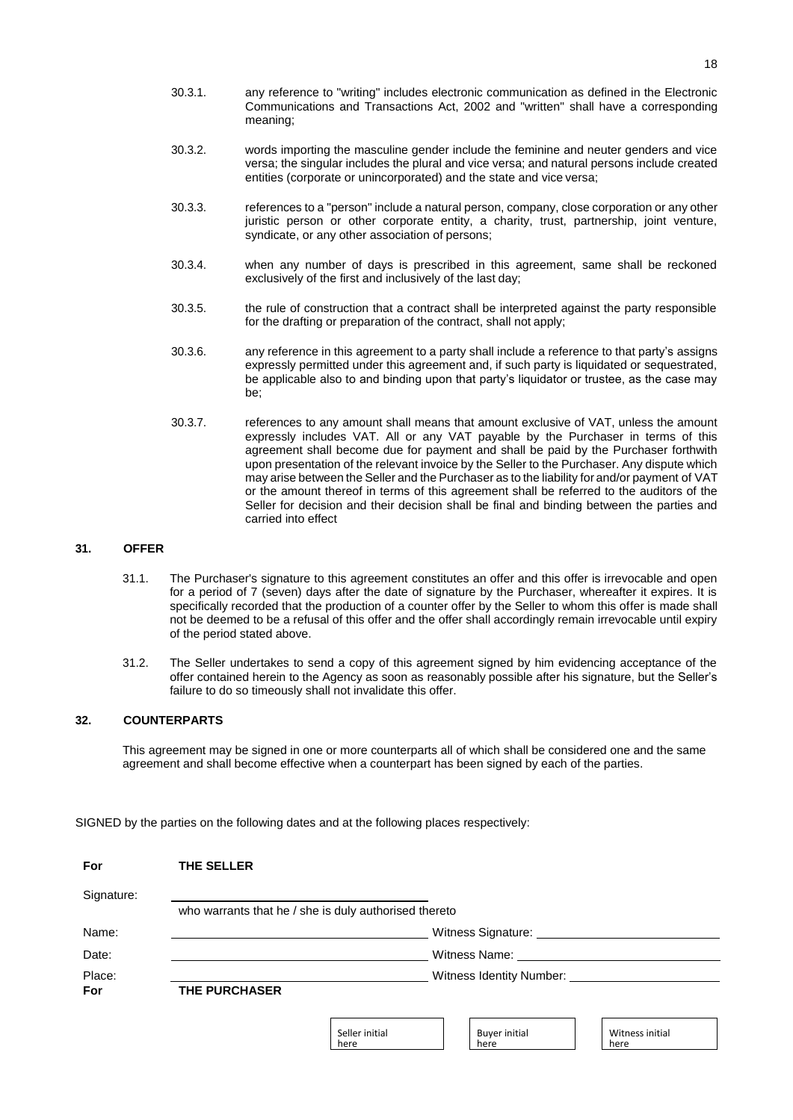- 30.3.1. any reference to "writing" includes electronic communication as defined in the Electronic Communications and Transactions Act, 2002 and "written" shall have a corresponding meaning;
- 30.3.2. words importing the masculine gender include the feminine and neuter genders and vice versa; the singular includes the plural and vice versa; and natural persons include created entities (corporate or unincorporated) and the state and vice versa;
- 30.3.3. references to a "person" include a natural person, company, close corporation or any other juristic person or other corporate entity, a charity, trust, partnership, joint venture, syndicate, or any other association of persons;
- 30.3.4. when any number of days is prescribed in this agreement, same shall be reckoned exclusively of the first and inclusively of the last day;
- 30.3.5. the rule of construction that a contract shall be interpreted against the party responsible for the drafting or preparation of the contract, shall not apply;
- 30.3.6. any reference in this agreement to a party shall include a reference to that party's assigns expressly permitted under this agreement and, if such party is liquidated or sequestrated, be applicable also to and binding upon that party's liquidator or trustee, as the case may be;
- 30.3.7. references to any amount shall means that amount exclusive of VAT, unless the amount expressly includes VAT. All or any VAT payable by the Purchaser in terms of this agreement shall become due for payment and shall be paid by the Purchaser forthwith upon presentation of the relevant invoice by the Seller to the Purchaser. Any dispute which may arise between the Seller and the Purchaser as to the liability for and/or payment of VAT or the amount thereof in terms of this agreement shall be referred to the auditors of the Seller for decision and their decision shall be final and binding between the parties and carried into effect

# **31. OFFER**

- 31.1. The Purchaser's signature to this agreement constitutes an offer and this offer is irrevocable and open for a period of 7 (seven) days after the date of signature by the Purchaser, whereafter it expires. It is specifically recorded that the production of a counter offer by the Seller to whom this offer is made shall not be deemed to be a refusal of this offer and the offer shall accordingly remain irrevocable until expiry of the period stated above.
- 31.2. The Seller undertakes to send a copy of this agreement signed by him evidencing acceptance of the offer contained herein to the Agency as soon as reasonably possible after his signature, but the Seller's failure to do so timeously shall not invalidate this offer.

# **32. COUNTERPARTS**

This agreement may be signed in one or more counterparts all of which shall be considered one and the same agreement and shall become effective when a counterpart has been signed by each of the parties.

SIGNED by the parties on the following dates and at the following places respectively:

| For        | THE SELLER           |                                                       |                               |                         |
|------------|----------------------|-------------------------------------------------------|-------------------------------|-------------------------|
| Signature: |                      |                                                       |                               |                         |
|            |                      | who warrants that he / she is duly authorised thereto |                               |                         |
| Name:      |                      |                                                       | Witness Signature:            |                         |
| Date:      |                      |                                                       | Witness Name:                 |                         |
| Place:     |                      |                                                       | Witness Identity Number: ____ |                         |
| <b>For</b> | <b>THE PURCHASER</b> |                                                       |                               |                         |
|            |                      |                                                       |                               |                         |
|            |                      | Seller initial<br>here                                | <b>Buyer initial</b><br>here  | Witness initial<br>here |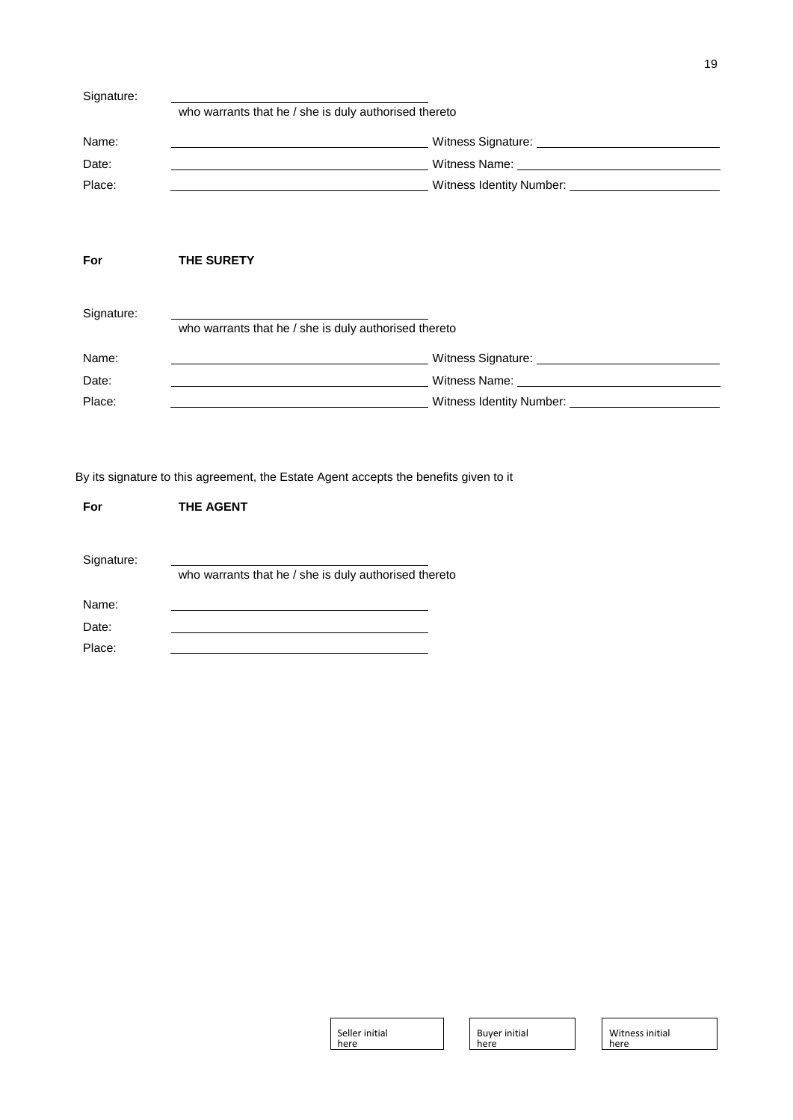| Signature: |                                                       |                                                   |  |
|------------|-------------------------------------------------------|---------------------------------------------------|--|
|            | who warrants that he / she is duly authorised thereto |                                                   |  |
| Name:      |                                                       | Witness Signature: View Management Communications |  |
| Date:      |                                                       |                                                   |  |
| Place:     |                                                       |                                                   |  |
|            |                                                       |                                                   |  |
|            |                                                       |                                                   |  |
| For        | <b>THE SURETY</b>                                     |                                                   |  |
|            |                                                       |                                                   |  |
| Signature: |                                                       |                                                   |  |
|            | who warrants that he / she is duly authorised thereto |                                                   |  |
| Name:      |                                                       |                                                   |  |
| Date:      |                                                       | Witness Name: Witness Name:                       |  |
| Place:     |                                                       | Witness Identity Number: _________                |  |

By its signature to this agreement, the Estate Agent accepts the benefits given to it

| For        | <b>THE AGENT</b>                                      |
|------------|-------------------------------------------------------|
| Signature: | who warrants that he / she is duly authorised thereto |
| Name:      |                                                       |
| Date:      |                                                       |
| Place:     |                                                       |

| Seller initial |  |
|----------------|--|
| here           |  |

٦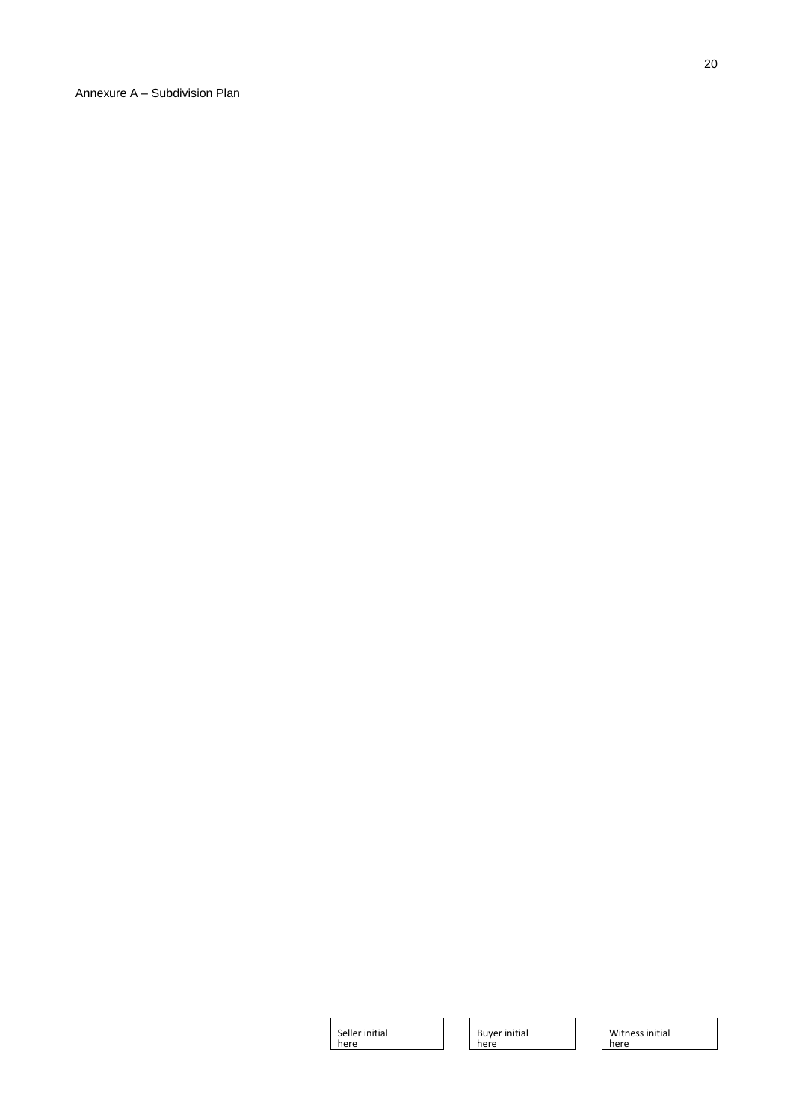Annexure A – Subdivision Plan

Seller initial here

Buyer initial here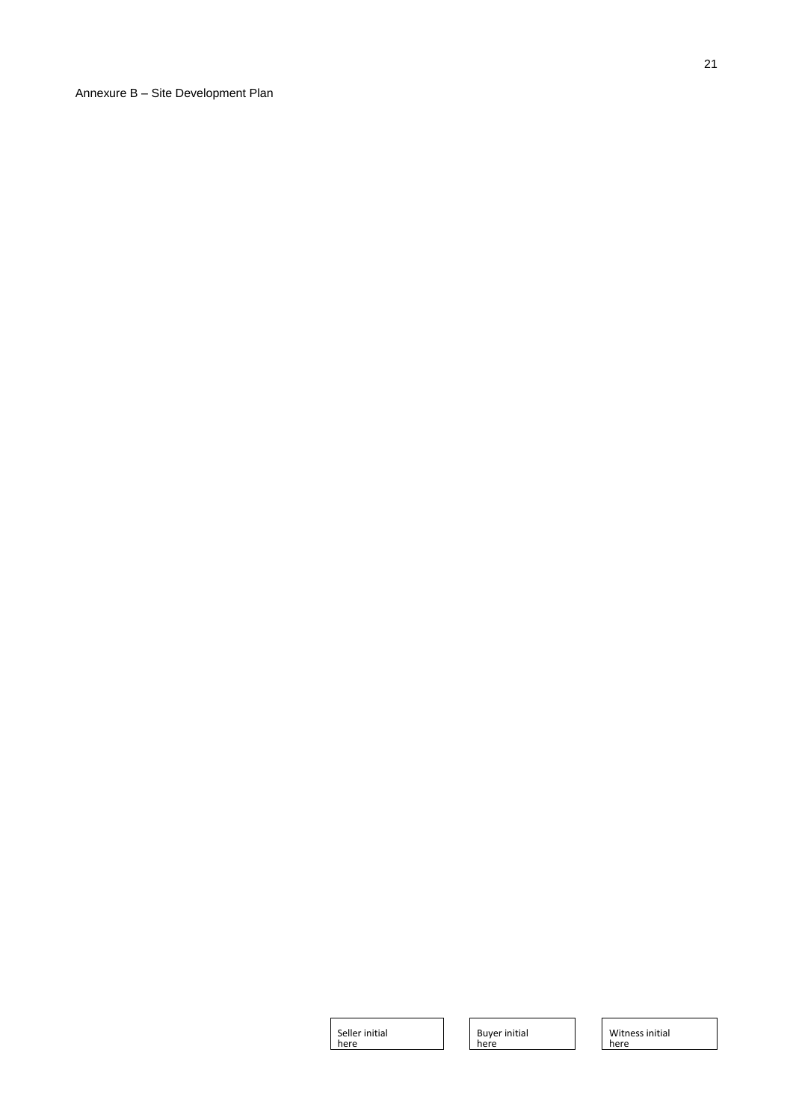Annexure B – Site Development Plan

21

Seller initial here

Buyer initial here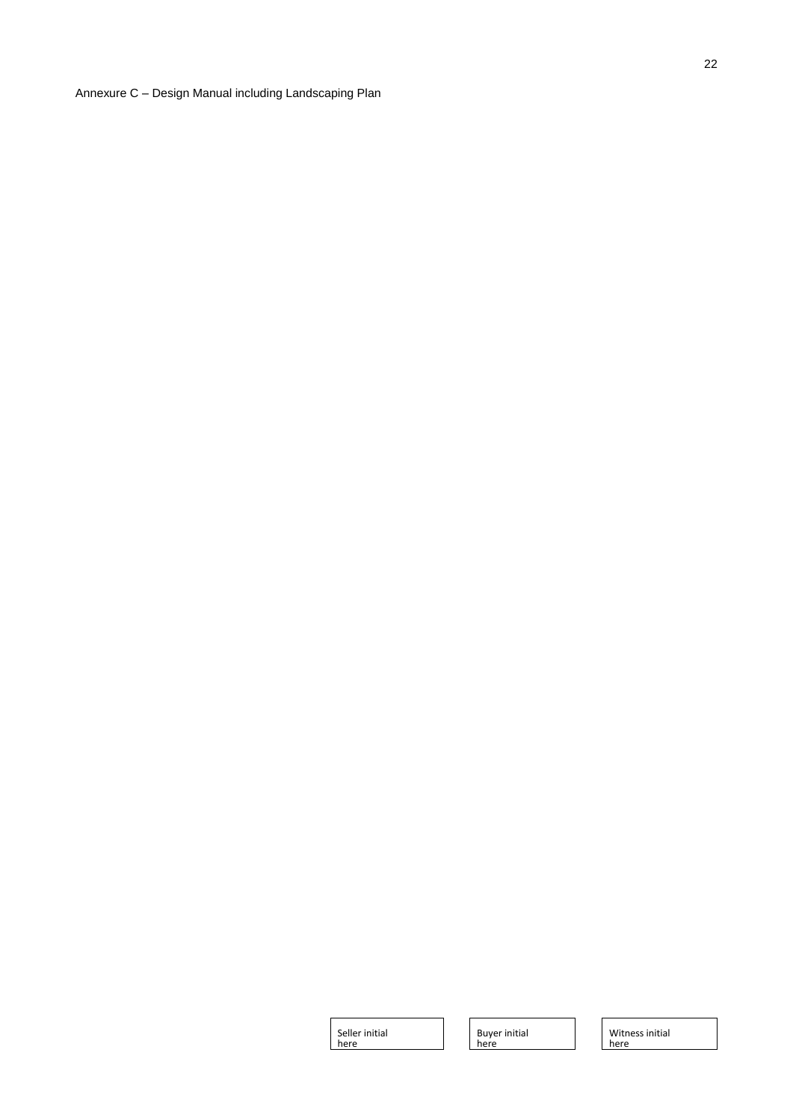Annexure C – Design Manual including Landscaping Plan

Seller initial here

Buyer initial here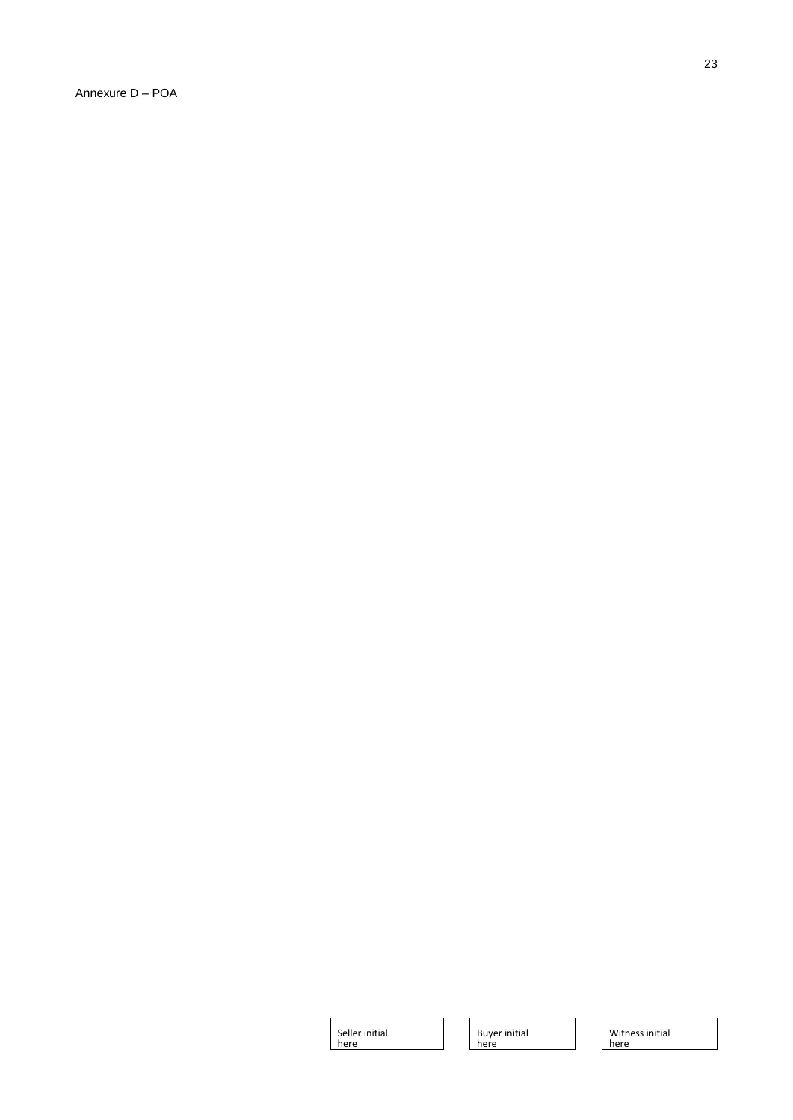Annexure D – POA

Seller initial here

Buyer initial here